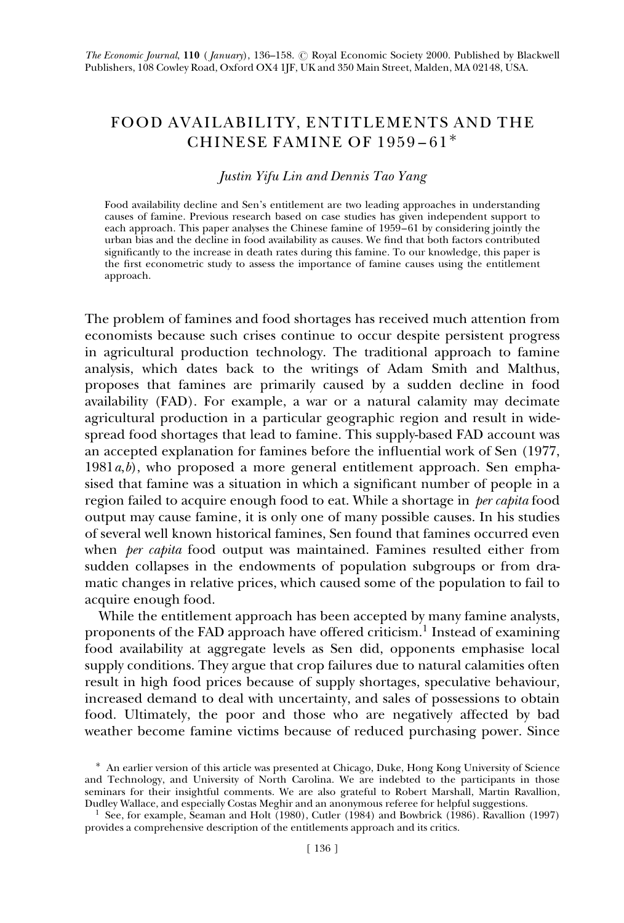# FOOD AVAILABILITY, ENTITLEMENTS AND THE CHINESE FAMINE OF  $1959-61*$

## Justin Yifu Lin and Dennis Tao Yang

Food availability decline and Sen's entitlement are two leading approaches in understanding causes of famine. Previous research based on case studies has given independent support to each approach. This paper analyses the Chinese famine of  $1959-61$  by considering jointly the urban bias and the decline in food availability as causes. We find that both factors contributed significantly to the increase in death rates during this famine. To our knowledge, this paper is the first econometric study to assess the importance of famine causes using the entitlement approach.

The problem of famines and food shortages has received much attention from economists because such crises continue to occur despite persistent progress in agricultural production technology. The traditional approach to famine analysis, which dates back to the writings of Adam Smith and Malthus, proposes that famines are primarily caused by a sudden decline in food availability (FAD). For example, a war or a natural calamity may decimate agricultural production in a particular geographic region and result in widespread food shortages that lead to famine. This supply-based FAD account was an accepted explanation for famines before the influential work of Sen (1977,  $1981a,b$ , who proposed a more general entitlement approach. Sen emphasised that famine was a situation in which a significant number of people in a region failed to acquire enough food to eat. While a shortage in *per capita* food output may cause famine, it is only one of many possible causes. In his studies of several well known historical famines, Sen found that famines occurred even when *per capita* food output was maintained. Famines resulted either from sudden collapses in the endowments of population subgroups or from dramatic changes in relative prices, which caused some of the population to fail to acquire enough food.

While the entitlement approach has been accepted by many famine analysts, proponents of the FAD approach have offered criticism. $^{\rm l}$  Instead of examining food availability at aggregate levels as Sen did, opponents emphasise local supply conditions. They argue that crop failures due to natural calamities often result in high food prices because of supply shortages, speculative behaviour, increased demand to deal with uncertainty, and sales of possessions to obtain food. Ultimately, the poor and those who are negatively affected by bad weather become famine victims because of reduced purchasing power. Since

An earlier version of this article was presented at Chicago, Duke, Hong Kong University of Science and Technology, and University of North Carolina. We are indebted to the participants in those seminars for their insightful comments. We are also grateful to Robert Marshall, Martin Ravallion, Dudley Wallace, and especially Costas Meghir and an anonymous referee for helpful suggestions.

<sup>&</sup>lt;sup>1</sup> See, for example, Seaman and Holt (1980), Cutler (1984) and Bowbrick (1986). Ravallion (1997) provides a comprehensive description of the entitlements approach and its critics.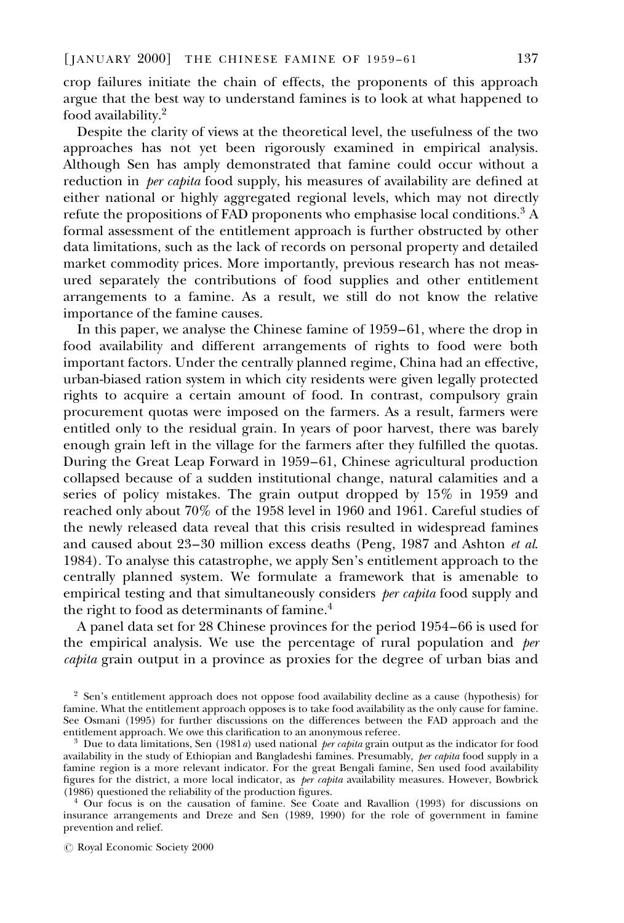crop failures initiate the chain of effects, the proponents of this approach argue that the best way to understand famines is to look at what happened to food availability.<sup>2</sup>

Despite the clarity of views at the theoretical level, the usefulness of the two approaches has not yet been rigorously examined in empirical analysis. Although Sen has amply demonstrated that famine could occur without a reduction in *per capita* food supply, his measures of availability are defined at either national or highly aggregated regional levels, which may not directly refute the propositions of FAD proponents who emphasise local conditions.<sup>3</sup> A formal assessment of the entitlement approach is further obstructed by other data limitations, such as the lack of records on personal property and detailed market commodity prices. More importantly, previous research has not measured separately the contributions of food supplies and other entitlement arrangements to a famine. As a result, we still do not know the relative importance of the famine causes.

In this paper, we analyse the Chinese famine of 1959–61, where the drop in food availability and different arrangements of rights to food were both important factors. Under the centrally planned regime, China had an effective, urban-biased ration system in which city residents were given legally protected rights to acquire a certain amount of food. In contrast, compulsory grain procurement quotas were imposed on the farmers. As a result, farmers were entitled only to the residual grain. In years of poor harvest, there was barely enough grain left in the village for the farmers after they fulfilled the quotas. During the Great Leap Forward in 1959-61, Chinese agricultural production collapsed because of a sudden institutional change, natural calamities and a series of policy mistakes. The grain output dropped by 15% in 1959 and reached only about 70% of the 1958 level in 1960 and 1961. Careful studies of the newly released data reveal that this crisis resulted in widespread famines and caused about  $23-30$  million excess deaths (Peng, 1987 and Ashton *et al.*) 1984). To analyse this catastrophe, we apply Sen's entitlement approach to the centrally planned system. We formulate a framework that is amenable to empirical testing and that simultaneously considers *per capita* food supply and the right to food as determinants of famine.<sup>4</sup>

A panel data set for 28 Chinese provinces for the period 1954–66 is used for the empirical analysis. We use the percentage of rural population and per capita grain output in a province as proxies for the degree of urban bias and

<sup>4</sup> Our focus is on the causation of famine. See Coate and Ravallion (1993) for discussions on insurance arrangements and Dreze and Sen (1989, 1990) for the role of government in famine prevention and relief.

<sup>2</sup> Sen's entitlement approach does not oppose food availability decline as a cause (hypothesis) for famine. What the entitlement approach opposes is to take food availability as the only cause for famine. See Osmani (1995) for further discussions on the differences between the FAD approach and the entitlement approach. We owe this clarification to an anonymous referee.

<sup>&</sup>lt;sup>3</sup> Due to data limitations, Sen (1981*a*) used national *per capita* grain output as the indicator for food availability in the study of Ethiopian and Bangladeshi famines. Presumably, per capita food supply in a famine region is a more relevant indicator. For the great Bengali famine, Sen used food availability figures for the district, a more local indicator, as *per capita* availability measures. However, Bowbrick  $(1986)$  questioned the reliability of the production figures.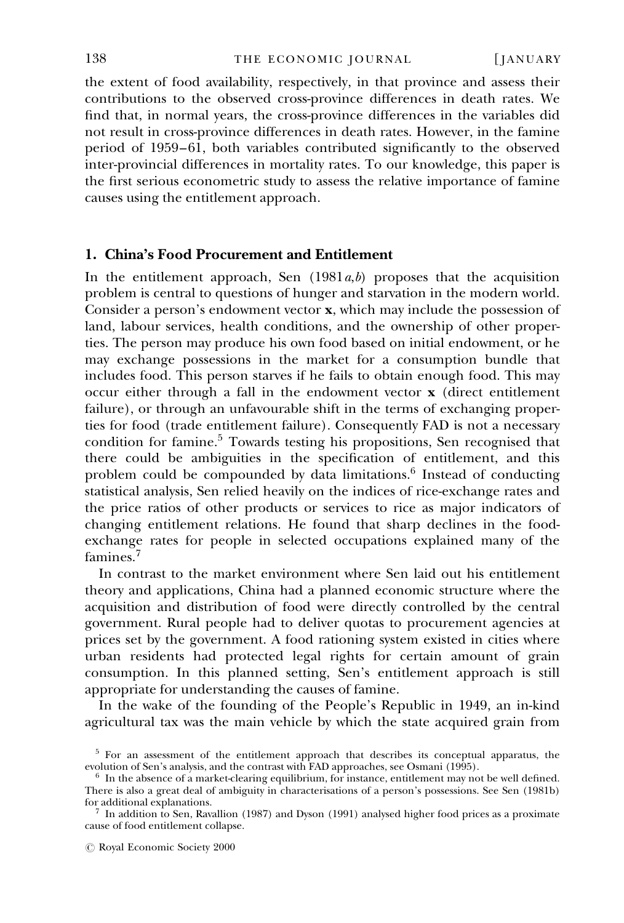the extent of food availability, respectively, in that province and assess their contributions to the observed cross-province differences in death rates. We find that, in normal years, the cross-province differences in the variables did not result in cross-province differences in death rates. However, in the famine period of 1959 $-61$ , both variables contributed significantly to the observed inter-provincial differences in mortality rates. To our knowledge, this paper is the first serious econometric study to assess the relative importance of famine causes using the entitlement approach.

## 1. China's Food Procurement and Entitlement

In the entitlement approach, Sen  $(1981a,b)$  proposes that the acquisition problem is central to questions of hunger and starvation in the modern world. Consider a person's endowment vector x, which may include the possession of land, labour services, health conditions, and the ownership of other properties. The person may produce his own food based on initial endowment, or he may exchange possessions in the market for a consumption bundle that includes food. This person starves if he fails to obtain enough food. This may occur either through a fall in the endowment vector x (direct entitlement failure), or through an unfavourable shift in the terms of exchanging properties for food (trade entitlement failure). Consequently FAD is not a necessary condition for famine.<sup>5</sup> Towards testing his propositions, Sen recognised that there could be ambiguities in the specification of entitlement, and this problem could be compounded by data limitations.<sup>6</sup> Instead of conducting statistical analysis, Sen relied heavily on the indices of rice-exchange rates and the price ratios of other products or services to rice as major indicators of changing entitlement relations. He found that sharp declines in the foodexchange rates for people in selected occupations explained many of the famines.<sup>7</sup>

In contrast to the market environment where Sen laid out his entitlement theory and applications, China had a planned economic structure where the acquisition and distribution of food were directly controlled by the central government. Rural people had to deliver quotas to procurement agencies at prices set by the government. A food rationing system existed in cities where urban residents had protected legal rights for certain amount of grain consumption. In this planned setting, Sen's entitlement approach is still appropriate for understanding the causes of famine.

In the wake of the founding of the People's Republic in 1949, an in-kind agricultural tax was the main vehicle by which the state acquired grain from

<sup>5</sup> For an assessment of the entitlement approach that describes its conceptual apparatus, the evolution of Sen's analysis, and the contrast with FAD approaches, see Osmani (1995).

 $^6$  In the absence of a market-clearing equilibrium, for instance, entitlement may not be well defined. There is also a great deal of ambiguity in characterisations of a person's possessions. See Sen (1981b) for additional explanations.

<sup>7</sup> In addition to Sen, Ravallion (1987) and Dyson (1991) analysed higher food prices as a proximate cause of food entitlement collapse.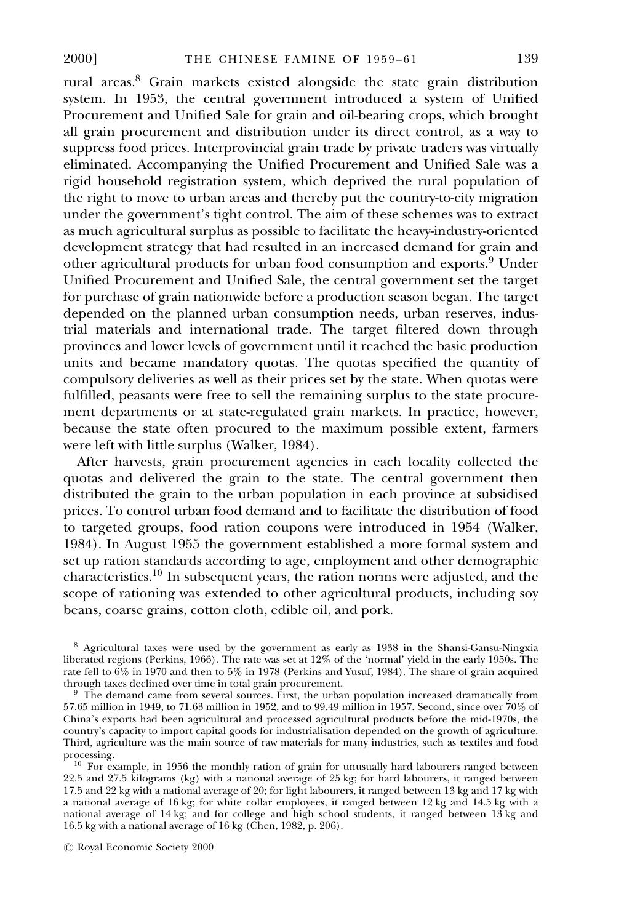rural areas.<sup>8</sup> Grain markets existed alongside the state grain distribution system. In 1953, the central government introduced a system of Unified Procurement and Unified Sale for grain and oil-bearing crops, which brought all grain procurement and distribution under its direct control, as a way to suppress food prices. Interprovincial grain trade by private traders was virtually eliminated. Accompanying the Unified Procurement and Unified Sale was a rigid household registration system, which deprived the rural population of the right to move to urban areas and thereby put the country-to-city migration under the government's tight control. The aim of these schemes was to extract as much agricultural surplus as possible to facilitate the heavy-industry-oriented development strategy that had resulted in an increased demand for grain and other agricultural products for urban food consumption and exports.<sup>9</sup> Under Unified Procurement and Unified Sale, the central government set the target for purchase of grain nationwide before a production season began. The target depended on the planned urban consumption needs, urban reserves, industrial materials and international trade. The target filtered down through provinces and lower levels of government until it reached the basic production units and became mandatory quotas. The quotas specified the quantity of compulsory deliveries as well as their prices set by the state. When quotas were fulfilled, peasants were free to sell the remaining surplus to the state procurement departments or at state-regulated grain markets. In practice, however, because the state often procured to the maximum possible extent, farmers were left with little surplus (Walker, 1984).

After harvests, grain procurement agencies in each locality collected the quotas and delivered the grain to the state. The central government then distributed the grain to the urban population in each province at subsidised prices. To control urban food demand and to facilitate the distribution of food to targeted groups, food ration coupons were introduced in 1954 (Walker, 1984). In August 1955 the government established a more formal system and set up ration standards according to age, employment and other demographic characteristics.<sup>10</sup> In subsequent years, the ration norms were adjusted, and the scope of rationing was extended to other agricultural products, including soy beans, coarse grains, cotton cloth, edible oil, and pork.

<sup>8</sup> Agricultural taxes were used by the government as early as 1938 in the Shansi-Gansu-Ningxia liberated regions (Perkins, 1966). The rate was set at 12% of the `normal' yield in the early 1950s. The rate fell to 6% in 1970 and then to 5% in 1978 (Perkins and Yusuf, 1984). The share of grain acquired through taxes declined over time in total grain procurement.

<sup>9</sup> The demand came from several sources. First, the urban population increased dramatically from 57.65 million in 1949, to 71.63 million in 1952, and to 99.49 million in 1957. Second, since over 70% of China's exports had been agricultural and processed agricultural products before the mid-1970s, the country's capacity to import capital goods for industrialisation depended on the growth of agriculture. Third, agriculture was the main source of raw materials for many industries, such as textiles and food processing.

<sup>10</sup> For example, in 1956 the monthly ration of grain for unusually hard labourers ranged between 22.5 and 27.5 kilograms (kg) with a national average of 25 kg; for hard labourers, it ranged between 17.5 and 22 kg with a national average of 20; for light labourers, it ranged between 13 kg and 17 kg with a national average of 16 kg; for white collar employees, it ranged between 12 kg and 14.5 kg with a national average of 14 kg; and for college and high school students, it ranged between 13 kg and 16.5 kg with a national average of 16 kg (Chen, 1982, p. 206).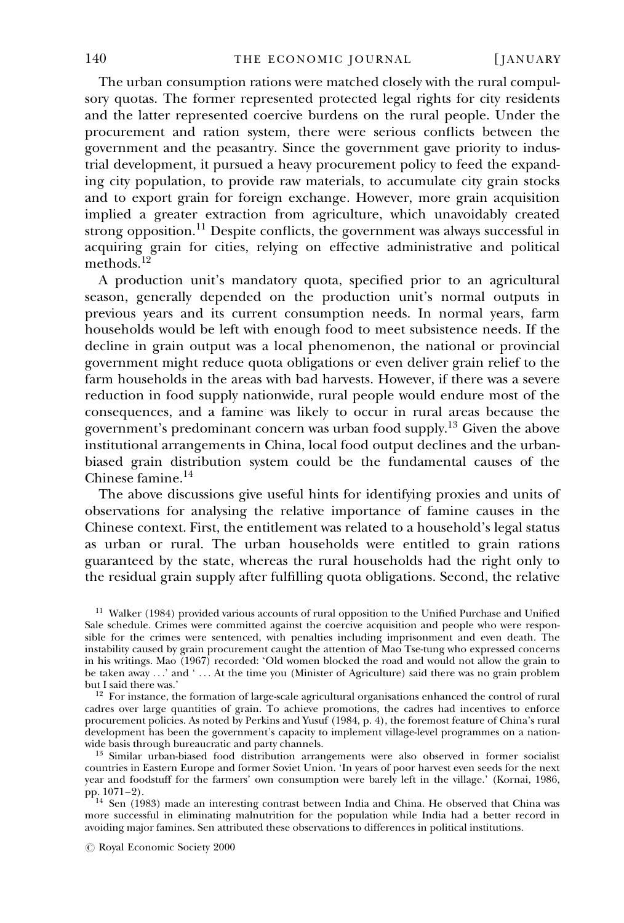The urban consumption rations were matched closely with the rural compulsory quotas. The former represented protected legal rights for city residents and the latter represented coercive burdens on the rural people. Under the procurement and ration system, there were serious conflicts between the government and the peasantry. Since the government gave priority to industrial development, it pursued a heavy procurement policy to feed the expanding city population, to provide raw materials, to accumulate city grain stocks and to export grain for foreign exchange. However, more grain acquisition implied a greater extraction from agriculture, which unavoidably created strong opposition.<sup>11</sup> Despite conflicts, the government was always successful in acquiring grain for cities, relying on effective administrative and political  $methods$ <sup>12</sup>

A production unit's mandatory quota, specified prior to an agricultural season, generally depended on the production unit's normal outputs in previous years and its current consumption needs. In normal years, farm households would be left with enough food to meet subsistence needs. If the decline in grain output was a local phenomenon, the national or provincial government might reduce quota obligations or even deliver grain relief to the farm households in the areas with bad harvests. However, if there was a severe reduction in food supply nationwide, rural people would endure most of the consequences, and a famine was likely to occur in rural areas because the government's predominant concern was urban food supply.<sup>13</sup> Given the above institutional arrangements in China, local food output declines and the urbanbiased grain distribution system could be the fundamental causes of the Chinese famine.<sup>14</sup>

The above discussions give useful hints for identifying proxies and units of observations for analysing the relative importance of famine causes in the Chinese context. First, the entitlement was related to a household's legal status as urban or rural. The urban households were entitled to grain rations guaranteed by the state, whereas the rural households had the right only to the residual grain supply after fulfilling quota obligations. Second, the relative

<sup>11</sup> Walker (1984) provided various accounts of rural opposition to the Unified Purchase and Unified Sale schedule. Crimes were committed against the coercive acquisition and people who were responsible for the crimes were sentenced, with penalties including imprisonment and even death. The instability caused by grain procurement caught the attention of Mao Tse-tung who expressed concerns in his writings. Mao (1967) recorded: `Old women blocked the road and would not allow the grain to be taken away ...' and '... At the time you (Minister of Agriculture) said there was no grain problem but I said there was.'

<sup>12</sup> For instance, the formation of large-scale agricultural organisations enhanced the control of rural cadres over large quantities of grain. To achieve promotions, the cadres had incentives to enforce procurement policies. As noted by Perkins and Yusuf (1984, p. 4), the foremost feature of China's rural development has been the government's capacity to implement village-level programmes on a nationwide basis through bureaucratic and party channels.

<sup>13</sup> Similar urban-biased food distribution arrangements were also observed in former socialist countries in Eastern Europe and former Soviet Union. `In years of poor harvest even seeds for the next year and foodstuff for the farmers' own consumption were barely left in the village.' (Kornai, 1986, pp. 1071-2).

<sup>14</sup> Sen (1983) made an interesting contrast between India and China. He observed that China was more successful in eliminating malnutrition for the population while India had a better record in avoiding major famines. Sen attributed these observations to differences in political institutions.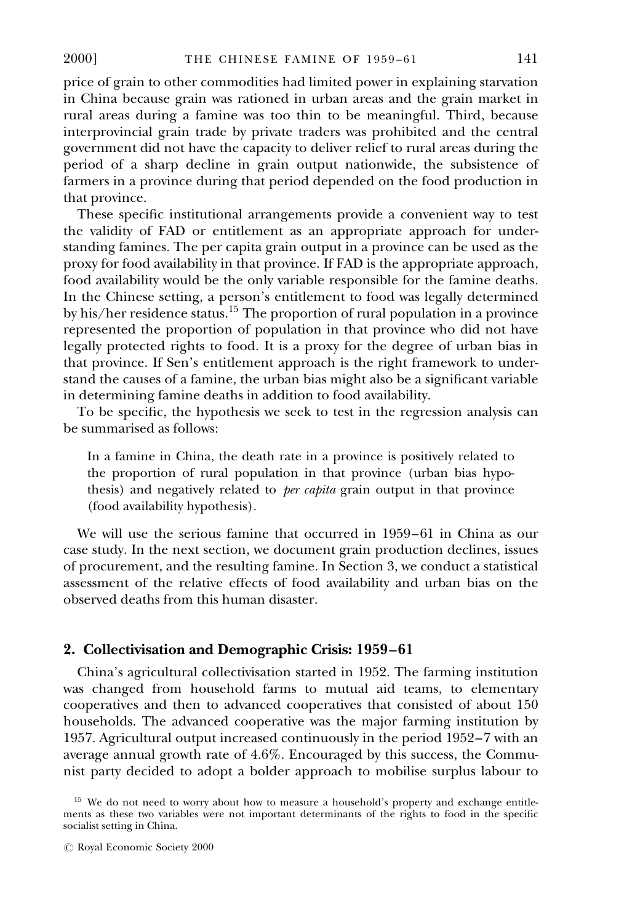price of grain to other commodities had limited power in explaining starvation in China because grain was rationed in urban areas and the grain market in rural areas during a famine was too thin to be meaningful. Third, because interprovincial grain trade by private traders was prohibited and the central government did not have the capacity to deliver relief to rural areas during the period of a sharp decline in grain output nationwide, the subsistence of farmers in a province during that period depended on the food production in that province.

These specific institutional arrangements provide a convenient way to test the validity of FAD or entitlement as an appropriate approach for understanding famines. The per capita grain output in a province can be used as the proxy for food availability in that province. If FAD is the appropriate approach, food availability would be the only variable responsible for the famine deaths. In the Chinese setting, a person's entitlement to food was legally determined by his/her residence status.<sup>15</sup> The proportion of rural population in a province represented the proportion of population in that province who did not have legally protected rights to food. It is a proxy for the degree of urban bias in that province. If Sen's entitlement approach is the right framework to understand the causes of a famine, the urban bias might also be a significant variable in determining famine deaths in addition to food availability.

To be specific, the hypothesis we seek to test in the regression analysis can be summarised as follows:

In a famine in China, the death rate in a province is positively related to the proportion of rural population in that province (urban bias hypothesis) and negatively related to *per capita* grain output in that province (food availability hypothesis).

We will use the serious famine that occurred in 1959–61 in China as our case study. In the next section, we document grain production declines, issues of procurement, and the resulting famine. In Section 3, we conduct a statistical assessment of the relative effects of food availability and urban bias on the observed deaths from this human disaster.

## 2. Collectivisation and Demographic Crisis: 1959-61

China's agricultural collectivisation started in 1952. The farming institution was changed from household farms to mutual aid teams, to elementary cooperatives and then to advanced cooperatives that consisted of about 150 households. The advanced cooperative was the major farming institution by 1957. Agricultural output increased continuously in the period 1952–7 with an average annual growth rate of 4.6%. Encouraged by this success, the Communist party decided to adopt a bolder approach to mobilise surplus labour to

<sup>&</sup>lt;sup>15</sup> We do not need to worry about how to measure a household's property and exchange entitlements as these two variables were not important determinants of the rights to food in the specific socialist setting in China.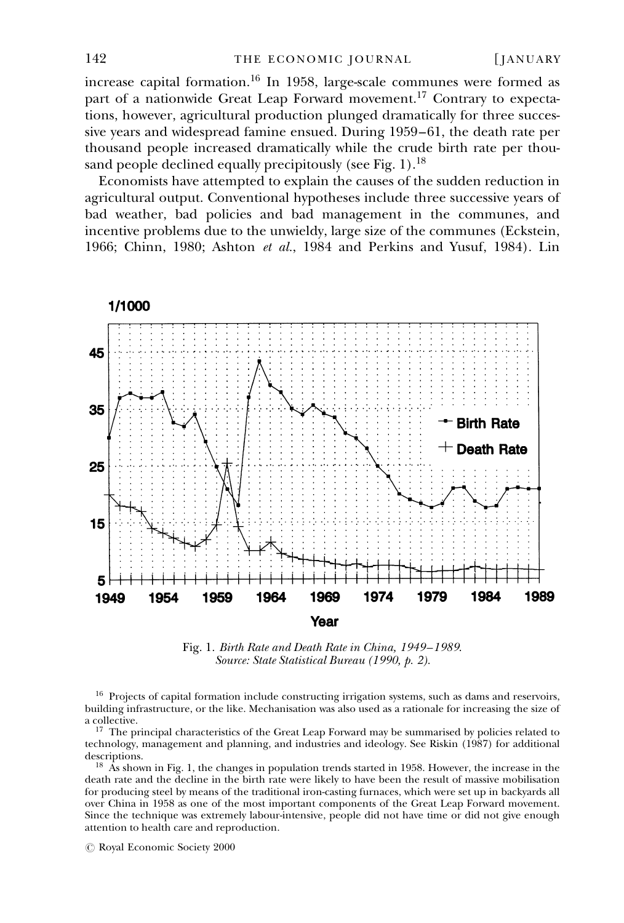increase capital formation.<sup>16</sup> In 1958, large-scale communes were formed as part of a nationwide Great Leap Forward movement.<sup>17</sup> Contrary to expectations, however, agricultural production plunged dramatically for three successive years and widespread famine ensued. During 1959-61, the death rate per thousand people increased dramatically while the crude birth rate per thousand people declined equally precipitously (see Fig. 1).<sup>18</sup>

Economists have attempted to explain the causes of the sudden reduction in agricultural output. Conventional hypotheses include three successive years of bad weather, bad policies and bad management in the communes, and incentive problems due to the unwieldy, large size of the communes (Eckstein, 1966; Chinn, 1980; Ashton et al., 1984 and Perkins and Yusuf, 1984). Lin



Fig. 1. Birth Rate and Death Rate in China, 1949-1989. Source: State Statistical Bureau (1990, p. 2).

<sup>16</sup> Projects of capital formation include constructing irrigation systems, such as dams and reservoirs, building infrastructure, or the like. Mechanisation was also used as a rationale for increasing the size of a collective.

<sup>17</sup> The principal characteristics of the Great Leap Forward may be summarised by policies related to technology, management and planning, and industries and ideology. See Riskin (1987) for additional descriptions.

<sup>18</sup> As shown in Fig. 1, the changes in population trends started in 1958. However, the increase in the death rate and the decline in the birth rate were likely to have been the result of massive mobilisation for producing steel by means of the traditional iron-casting furnaces, which were set up in backyards all over China in 1958 as one of the most important components of the Great Leap Forward movement. Since the technique was extremely labour-intensive, people did not have time or did not give enough attention to health care and reproduction.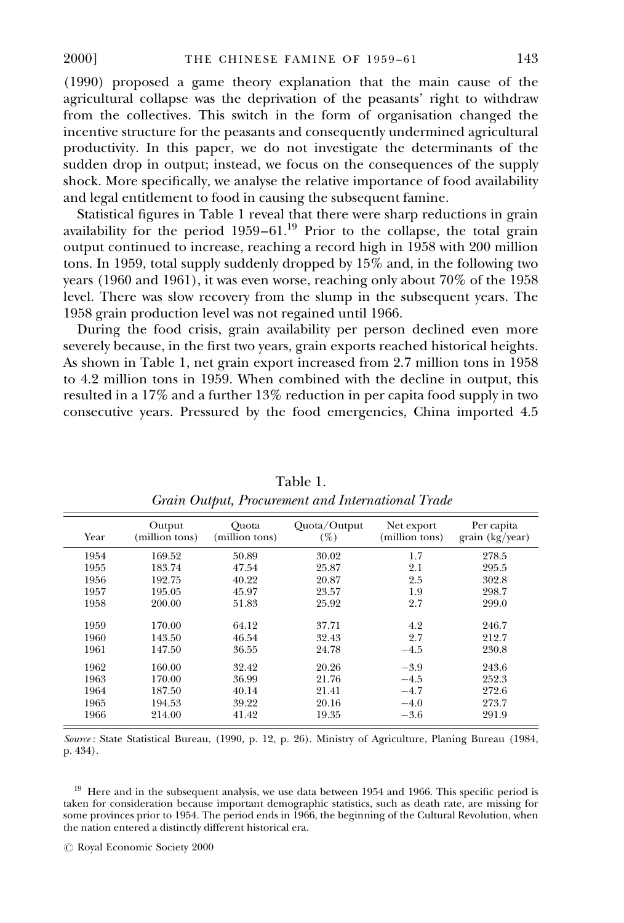(1990) proposed a game theory explanation that the main cause of the agricultural collapse was the deprivation of the peasants' right to withdraw from the collectives. This switch in the form of organisation changed the incentive structure for the peasants and consequently undermined agricultural productivity. In this paper, we do not investigate the determinants of the sudden drop in output; instead, we focus on the consequences of the supply shock. More specifically, we analyse the relative importance of food availability and legal entitlement to food in causing the subsequent famine.

Statistical figures in Table 1 reveal that there were sharp reductions in grain availability for the period  $1959-61$ .<sup>19</sup> Prior to the collapse, the total grain output continued to increase, reaching a record high in 1958 with 200 million tons. In 1959, total supply suddenly dropped by 15% and, in the following two years (1960 and 1961), it was even worse, reaching only about 70% of the 1958 level. There was slow recovery from the slump in the subsequent years. The 1958 grain production level was not regained until 1966.

During the food crisis, grain availability per person declined even more severely because, in the first two years, grain exports reached historical heights. As shown in Table 1, net grain export increased from 2.7 million tons in 1958 to 4.2 million tons in 1959. When combined with the decline in output, this resulted in a 17% and a further 13% reduction in per capita food supply in two consecutive years. Pressured by the food emergencies, China imported 4.5

| Year | Output<br>(million tons) | Quota<br>(million tons) | Quota/Output<br>$(\%)$ | Net export<br>(million tons) | Per capita<br>grain (kg/year) |
|------|--------------------------|-------------------------|------------------------|------------------------------|-------------------------------|
| 1954 | 169.52                   | 50.89                   | 30.02                  | 1.7                          | 278.5                         |
| 1955 | 183.74                   | 47.54                   | 25.87                  | 2.1                          | 295.5                         |
| 1956 | 192.75                   | 40.22                   | 20.87                  | 2.5                          | 302.8                         |
| 1957 | 195.05                   | 45.97                   | 23.57                  | 1.9                          | 298.7                         |
| 1958 | 200.00                   | 51.83                   | 25.92                  | 2.7                          | 299.0                         |
| 1959 | 170.00                   | 64.12                   | 37.71                  | 4.2                          | 246.7                         |
| 1960 | 143.50                   | 46.54                   | 32.43                  | 2.7                          | 212.7                         |
| 1961 | 147.50                   | 36.55                   | 24.78                  | $-4.5$                       | 230.8                         |
| 1962 | 160.00                   | 32.42                   | 20.26                  | $-3.9$                       | 243.6                         |
| 1963 | 170.00                   | 36.99                   | 21.76                  | $-4.5$                       | 252.3                         |
| 1964 | 187.50                   | 40.14                   | 21.41                  | $-4.7$                       | 272.6                         |
| 1965 | 194.53                   | 39.22                   | 20.16                  | $-4.0$                       | 273.7                         |
| 1966 | 214.00                   | 41.42                   | 19.35                  | $-3.6$                       | 291.9                         |

Table 1. Grain Output, Procurement and International Trade

Source: State Statistical Bureau, (1990, p. 12, p. 26). Ministry of Agriculture, Planing Bureau (1984, p. 434).

 $19$  Here and in the subsequent analysis, we use data between 1954 and 1966. This specific period is taken for consideration because important demographic statistics, such as death rate, are missing for some provinces prior to 1954. The period ends in 1966, the beginning of the Cultural Revolution, when the nation entered a distinctly different historical era.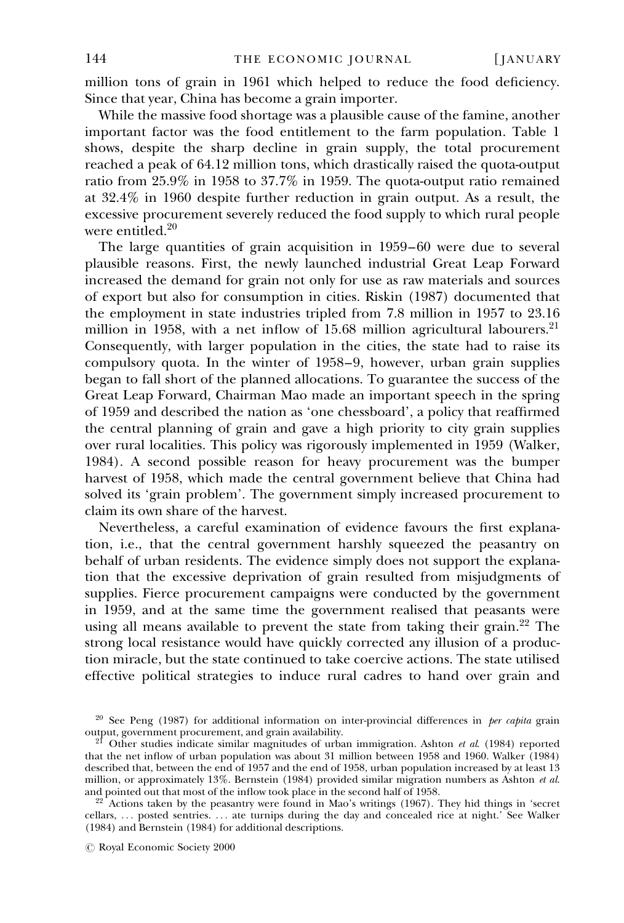million tons of grain in 1961 which helped to reduce the food deficiency. Since that year, China has become a grain importer.

While the massive food shortage was a plausible cause of the famine, another important factor was the food entitlement to the farm population. Table 1 shows, despite the sharp decline in grain supply, the total procurement reached a peak of 64.12 million tons, which drastically raised the quota-output ratio from 25.9% in 1958 to 37.7% in 1959. The quota-output ratio remained at 32.4% in 1960 despite further reduction in grain output. As a result, the excessive procurement severely reduced the food supply to which rural people were entitled.<sup>20</sup>

The large quantities of grain acquisition in  $1959-60$  were due to several plausible reasons. First, the newly launched industrial Great Leap Forward increased the demand for grain not only for use as raw materials and sources of export but also for consumption in cities. Riskin (1987) documented that the employment in state industries tripled from 7.8 million in 1957 to 23.16 million in 1958, with a net inflow of 15.68 million agricultural labourers.<sup>21</sup> Consequently, with larger population in the cities, the state had to raise its compulsory quota. In the winter of 1958-9, however, urban grain supplies began to fall short of the planned allocations. To guarantee the success of the Great Leap Forward, Chairman Mao made an important speech in the spring of 1959 and described the nation as 'one chessboard', a policy that reaffirmed the central planning of grain and gave a high priority to city grain supplies over rural localities. This policy was rigorously implemented in 1959 (Walker, 1984). A second possible reason for heavy procurement was the bumper harvest of 1958, which made the central government believe that China had solved its `grain problem'. The government simply increased procurement to claim its own share of the harvest.

Nevertheless, a careful examination of evidence favours the first explanation, i.e., that the central government harshly squeezed the peasantry on behalf of urban residents. The evidence simply does not support the explanation that the excessive deprivation of grain resulted from misjudgments of supplies. Fierce procurement campaigns were conducted by the government in 1959, and at the same time the government realised that peasants were using all means available to prevent the state from taking their grain.<sup>22</sup> The strong local resistance would have quickly corrected any illusion of a production miracle, but the state continued to take coercive actions. The state utilised effective political strategies to induce rural cadres to hand over grain and

<sup>&</sup>lt;sup>20</sup> See Peng (1987) for additional information on inter-provincial differences in *per capita* grain output, government procurement, and grain availability.

<sup>&</sup>lt;sup>21</sup> Other studies indicate similar magnitudes of urban immigration. Ashton et al. (1984) reported that the net inflow of urban population was about 31 million between 1958 and 1960. Walker (1984) described that, between the end of 1957 and the end of 1958, urban population increased by at least 13 million, or approximately 13%. Bernstein (1984) provided similar migration numbers as Ashton et al. and pointed out that most of the inflow took place in the second half of 1958.

 $22$ <sup>22</sup> Actions taken by the peasantry were found in Mao's writings (1967). They hid things in 'secret cellars, ... posted sentries. ... ate turnips during the day and concealed rice at night.' See Walker (1984) and Bernstein (1984) for additional descriptions.

 $\oslash$  Royal Economic Society 2000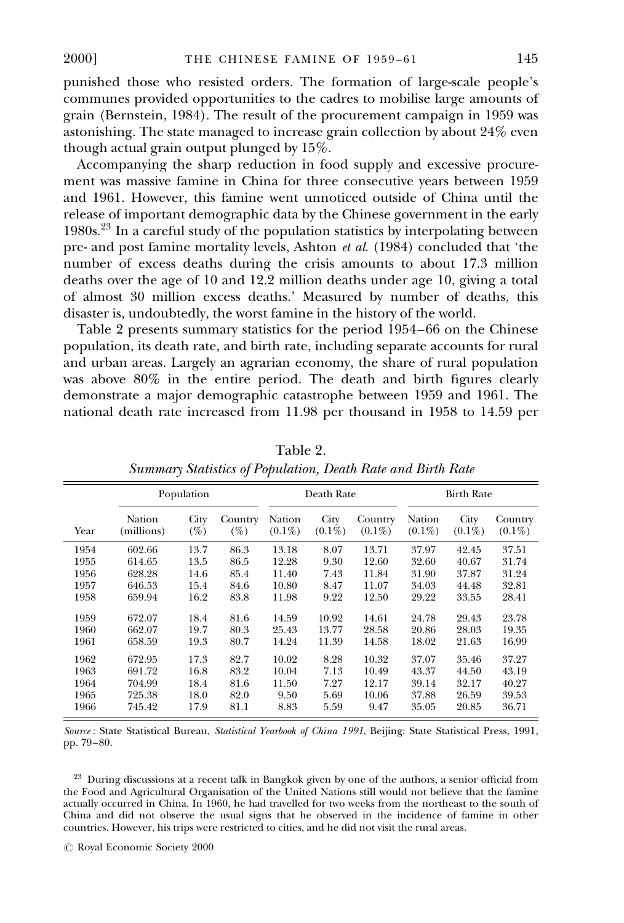punished those who resisted orders. The formation of large-scale people's communes provided opportunities to the cadres to mobilise large amounts of grain (Bernstein, 1984). The result of the procurement campaign in 1959 was astonishing. The state managed to increase grain collection by about 24% even though actual grain output plunged by 15%.

Accompanying the sharp reduction in food supply and excessive procurement was massive famine in China for three consecutive years between 1959 and 1961. However, this famine went unnoticed outside of China until the release of important demographic data by the Chinese government in the early 1980s.<sup>23</sup> In a careful study of the population statistics by interpolating between pre- and post famine mortality levels, Ashton et al. (1984) concluded that `the number of excess deaths during the crisis amounts to about 17.3 million deaths over the age of 10 and 12.2 million deaths under age 10, giving a total of almost 30 million excess deaths.' Measured by number of deaths, this disaster is, undoubtedly, the worst famine in the history of the world.

Table 2 presents summary statistics for the period 1954–66 on the Chinese population, its death rate, and birth rate, including separate accounts for rural and urban areas. Largely an agrarian economy, the share of rural population was above  $80\%$  in the entire period. The death and birth figures clearly demonstrate a major demographic catastrophe between 1959 and 1961. The national death rate increased from 11.98 per thousand in 1958 to 14.59 per

|      | Population           |             |                   | Death Rate          |                   | <b>Birth Rate</b>    |                     |                   |                      |
|------|----------------------|-------------|-------------------|---------------------|-------------------|----------------------|---------------------|-------------------|----------------------|
| Year | Nation<br>(millions) | City<br>(%) | Country<br>$(\%)$ | Nation<br>$(0.1\%)$ | City<br>$(0.1\%)$ | Country<br>$(0.1\%)$ | Nation<br>$(0.1\%)$ | City<br>$(0.1\%)$ | Country<br>$(0.1\%)$ |
| 1954 | 602.66               | 13.7        | 86.3              | 13.18               | 8.07              | 13.71                | 37.97               | 42.45             | 37.51                |
| 1955 | 614.65               | 13.5        | 86.5              | 12.28               | 9.30              | 12.60                | 32.60               | 40.67             | 31.74                |
| 1956 | 628.28               | 14.6        | 85.4              | 11.40               | 7.43              | 11.84                | 31.90               | 37.87             | 31.24                |
| 1957 | 646.53               | 15.4        | 84.6              | 10.80               | 8.47              | 11.07                | 34.03               | 44.48             | 32.81                |
| 1958 | 659.94               | 16.2        | 83.8              | 11.98               | 9.22              | 12.50                | 29.22               | 33.55             | 28.41                |
| 1959 | 672.07               | 18.4        | 81.6              | 14.59               | 10.92             | 14.61                | 24.78               | 29.43             | 23.78                |
| 1960 | 662.07               | 19.7        | 80.3              | 25.43               | 13.77             | 28.58                | 20.86               | 28.03             | 19.35                |
| 1961 | 658.59               | 19.3        | 80.7              | 14.24               | 11.39             | 14.58                | 18.02               | 21.63             | 16.99                |
| 1962 | 672.95               | 17.3        | 82.7              | 10.02               | 8.28              | 10.32                | 37.07               | 35.46             | 37.27                |
| 1963 | 691.72               | 16.8        | 83.2              | 10.04               | 7.13              | 10.49                | 43.37               | 44.50             | 43.19                |
| 1964 | 704.99               | 18.4        | 81.6              | 11.50               | 7.27              | 12.17                | 39.14               | 32.17             | 40.27                |
| 1965 | 725.38               | 18.0        | 82.0              | 9.50                | 5.69              | 10.06                | 37.88               | 26.59             | 39.53                |
| 1966 | 745.42               | 17.9        | 81.1              | 8.83                | 5.59              | 9.47                 | 35.05               | 20.85             | 36.71                |

Table 2. Summary Statistics of Population, Death Rate and Birth Rate

Source : State Statistical Bureau, Statistical Yearbook of China 1991, Beijing: State Statistical Press, 1991, pp. 79-80.

<sup>23</sup> During discussions at a recent talk in Bangkok given by one of the authors, a senior official from the Food and Agricultural Organisation of the United Nations still would not believe that the famine actually occurred in China. In 1960, he had travelled for two weeks from the northeast to the south of China and did not observe the usual signs that he observed in the incidence of famine in other countries. However, his trips were restricted to cities, and he did not visit the rural areas.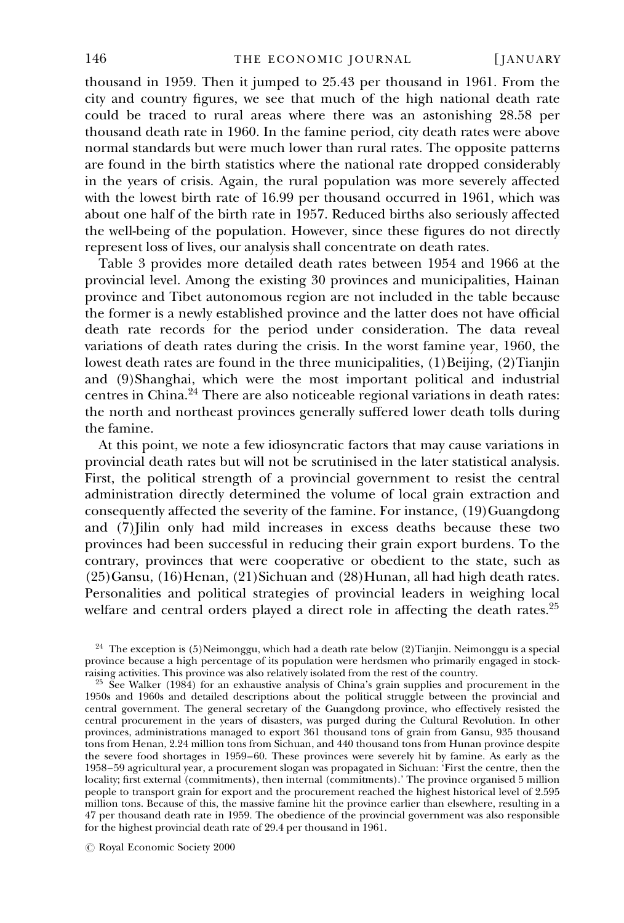thousand in 1959. Then it jumped to 25.43 per thousand in 1961. From the city and country figures, we see that much of the high national death rate could be traced to rural areas where there was an astonishing 28.58 per thousand death rate in 1960. In the famine period, city death rates were above normal standards but were much lower than rural rates. The opposite patterns are found in the birth statistics where the national rate dropped considerably in the years of crisis. Again, the rural population was more severely affected with the lowest birth rate of 16.99 per thousand occurred in 1961, which was about one half of the birth rate in 1957. Reduced births also seriously affected the well-being of the population. However, since these figures do not directly represent loss of lives, our analysis shall concentrate on death rates.

Table 3 provides more detailed death rates between 1954 and 1966 at the provincial level. Among the existing 30 provinces and municipalities, Hainan province and Tibet autonomous region are not included in the table because the former is a newly established province and the latter does not have official death rate records for the period under consideration. The data reveal variations of death rates during the crisis. In the worst famine year, 1960, the lowest death rates are found in the three municipalities, (1)Beijing, (2)Tianjin and (9)Shanghai, which were the most important political and industrial centres in China.<sup>24</sup> There are also noticeable regional variations in death rates: the north and northeast provinces generally suffered lower death tolls during the famine.

At this point, we note a few idiosyncratic factors that may cause variations in provincial death rates but will not be scrutinised in the later statistical analysis. First, the political strength of a provincial government to resist the central administration directly determined the volume of local grain extraction and consequently affected the severity of the famine. For instance, (19)Guangdong and (7)Jilin only had mild increases in excess deaths because these two provinces had been successful in reducing their grain export burdens. To the contrary, provinces that were cooperative or obedient to the state, such as (25)Gansu, (16)Henan, (21)Sichuan and (28)Hunan, all had high death rates. Personalities and political strategies of provincial leaders in weighing local welfare and central orders played a direct role in affecting the death rates.<sup>25</sup>

 $24$  The exception is (5)Neimonggu, which had a death rate below (2)Tianjin. Neimonggu is a special province because a high percentage of its population were herdsmen who primarily engaged in stock-

raising activities. This province was also relatively isolated from the rest of the country. <sup>25</sup> See Walker (1984) for an exhaustive analysis of China's grain supplies and procurement in the 1950s and 1960s and detailed descriptions about the political struggle between the provincial and central government. The general secretary of the Guangdong province, who effectively resisted the central procurement in the years of disasters, was purged during the Cultural Revolution. In other provinces, administrations managed to export 361 thousand tons of grain from Gansu, 935 thousand tons from Henan, 2.24 million tons from Sichuan, and 440 thousand tons from Hunan province despite the severe food shortages in 1959–60. These provinces were severely hit by famine. As early as the 1958±59 agricultural year, a procurement slogan was propagated in Sichuan: `First the centre, then the locality; first external (commitments), then internal (commitments).' The province organised 5 million people to transport grain for export and the procurement reached the highest historical level of 2.595 million tons. Because of this, the massive famine hit the province earlier than elsewhere, resulting in a 47 per thousand death rate in 1959. The obedience of the provincial government was also responsible for the highest provincial death rate of 29.4 per thousand in 1961.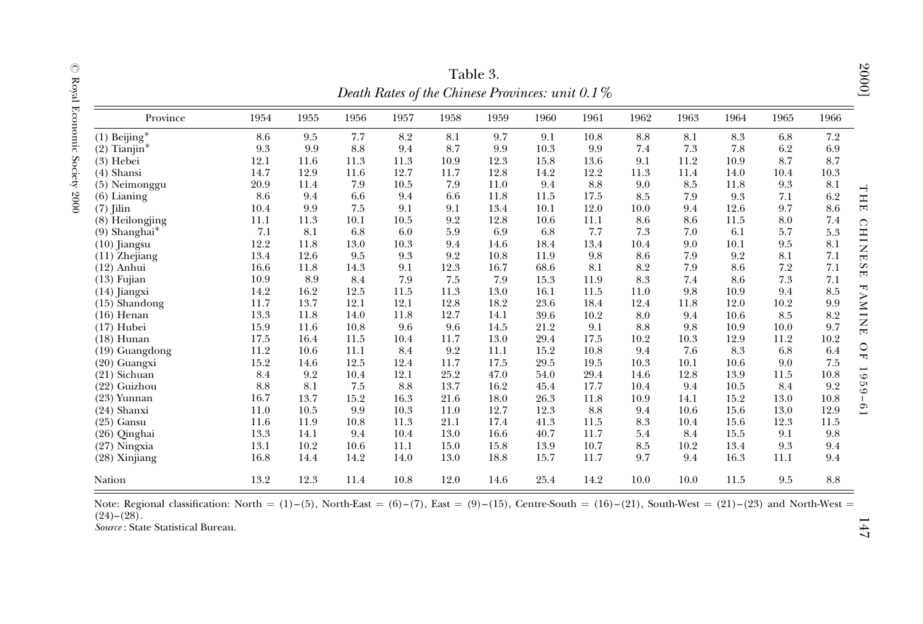|                             |      |      |      |      | Death Rates of the Chinese Provinces: unit 0.1% |      |      |      |      |      |      |      |      | $\Xi$          |
|-----------------------------|------|------|------|------|-------------------------------------------------|------|------|------|------|------|------|------|------|----------------|
| Province                    | 1954 | 1955 | 1956 | 1957 | 1958                                            | 1959 | 1960 | 1961 | 1962 | 1963 | 1964 | 1965 | 1966 |                |
| $(1)$ Beijing*              | 8.6  | 9.5  | 7.7  | 8.2  | 8.1                                             | 9.7  | 9.1  | 10.8 | 8.8  | 8.1  | 8.3  | 6.8  | 7.2  |                |
| $(2)$ Tianjin*              | 9.3  | 9.9  | 8.8  | 9.4  | 8.7                                             | 9.9  | 10.3 | 9.9  | 7.4  | 7.3  | 7.8  | 6.2  | 6.9  |                |
| $(3)$ Hebei                 | 12.1 | 11.6 | 11.3 | 11.3 | 10.9                                            | 12.3 | 15.8 | 13.6 | 9.1  | 11.2 | 10.9 | 8.7  | 8.7  |                |
| (4) Shansi                  | 14.7 | 12.9 | 11.6 | 12.7 | 11.7                                            | 12.8 | 14.2 | 12.2 | 11.3 | 11.4 | 14.0 | 10.4 | 10.3 |                |
| (5) Neimonggu               | 20.9 | 11.4 | 7.9  | 10.5 | 7.9                                             | 11.0 | 9.4  | 8.8  | 9.0  | 8.5  | 11.8 | 9.3  | 8.1  |                |
| $(6)$ Lianing               | 8.6  | 9.4  | 6.6  | 9.4  | 6.6                                             | 11.8 | 11.5 | 17.5 | 8.5  | 7.9  | 9.3  | 7.1  | 6.2  | THE            |
| $(7)$ Jilin                 | 10.4 | 9.9  | 7.5  | 9.1  | 9.1                                             | 13.4 | 10.1 | 12.0 | 10.0 | 9.4  | 12.6 | 9.7  | 8.6  |                |
| (8) Heilongjing             | 11.1 | 11.3 | 10.1 | 10.5 | 9.2                                             | 12.8 | 10.6 | 11.1 | 8.6  | 8.6  | 11.5 | 8.0  | 7.4  |                |
| $(9)$ Shanghai <sup>*</sup> | 7.1  | 8.1  | 6.8  | 6.0  | 5.9                                             | 6.9  | 6.8  | 7.7  | 7.3  | 7.0  | 6.1  | 5.7  | 5.3  | <b>CHINE</b>   |
| $(10)$ Jiangsu              | 12.2 | 11.8 | 13.0 | 10.3 | 9.4                                             | 14.6 | 18.4 | 13.4 | 10.4 | 9.0  | 10.1 | 9.5  | 8.1  |                |
| (11) Zhejiang               | 13.4 | 12.6 | 9.5  | 9.3  | 9.2                                             | 10.8 | 11.9 | 9.8  | 8.6  | 7.9  | 9.2  | 8.1  | 7.1  |                |
| $(12)$ Anhui                | 16.6 | 11.8 | 14.3 | 9.1  | 12.3                                            | 16.7 | 68.6 | 8.1  | 8.2  | 7.9  | 8.6  | 7.2  | 7.1  | $_{\rm SE}$    |
| $(13)$ Fujian               | 10.9 | 8.9  | 8.4  | 7.9  | 7.5                                             | 7.9  | 15.3 | 11.9 | 8.3  | 7.4  | 8.6  | 7.3  | 7.1  |                |
| $(14)$ [iangxi]             | 14.2 | 16.2 | 12.5 | 11.5 | 11.3                                            | 13.0 | 16.1 | 11.5 | 11.0 | 9.8  | 10.9 | 9.4  | 8.5  | <b>FAMINE</b>  |
| $(15)$ Shandong             | 11.7 | 13.7 | 12.1 | 12.1 | 12.8                                            | 18.2 | 23.6 | 18.4 | 12.4 | 11.8 | 12.0 | 10.2 | 9.9  |                |
| $(16)$ Henan                | 13.3 | 11.8 | 14.0 | 11.8 | 12.7                                            | 14.1 | 39.6 | 10.2 | 8.0  | 9.4  | 10.6 | 8.5  | 8.2  |                |
| $(17)$ Hubei                | 15.9 | 11.6 | 10.8 | 9.6  | 9.6                                             | 14.5 | 21.2 | 9.1  | 8.8  | 9.8  | 10.9 | 10.0 | 9.7  |                |
| $(18)$ Hunan                | 17.5 | 16.4 | 11.5 | 10.4 | 11.7                                            | 13.0 | 29.4 | 17.5 | 10.2 | 10.3 | 12.9 | 11.2 | 10.2 |                |
| $(19)$ Guangdong            | 11.2 | 10.6 | 11.1 | 8.4  | 9.2                                             | 11.1 | 15.2 | 10.8 | 9.4  | 7.6  | 8.3  | 6.8  | 6.4  | $\frac{1}{2}$  |
| $(20)$ Guangxi              | 15.2 | 14.6 | 12.5 | 12.4 | 11.7                                            | 17.5 | 29.5 | 19.5 | 10.3 | 10.1 | 10.6 | 9.0  | 7.5  |                |
| (21) Sichuan                | 8.4  | 9.2  | 10.4 | 12.1 | 25.2                                            | 47.0 | 54.0 | 29.4 | 14.6 | 12.8 | 13.9 | 11.5 | 10.8 | $\overline{6}$ |
| (22) Guizhou                | 8.8  | 8.1  | 7.5  | 8.8  | 13.7                                            | 16.2 | 45.4 | 17.7 | 10.4 | 9.4  | 10.5 | 8.4  | 9.2  | Ğ              |
| $(23)$ Yunnan               | 16.7 | 13.7 | 15.2 | 16.3 | 21.6                                            | 18.0 | 26.3 | 11.8 | 10.9 | 14.1 | 15.2 | 13.0 | 10.8 | $\frac{6}{1}$  |
| $(24)$ Shanxi               | 11.0 | 10.5 | 9.9  | 10.3 | 11.0                                            | 12.7 | 12.3 | 8.8  | 9.4  | 10.6 | 15.6 | 13.0 | 12.9 | $\overline{0}$ |
| $(25)$ Gansu                | 11.6 | 11.9 | 10.8 | 11.3 | 21.1                                            | 17.4 | 41.3 | 11.5 | 8.3  | 10.4 | 15.6 | 12.3 | 11.5 |                |
| (26) Qinghai                | 13.3 | 14.1 | 9.4  | 10.4 | 13.0                                            | 16.6 | 40.7 | 11.7 | 5.4  | 8.4  | 15.5 | 9.1  | 9.8  |                |
| (27) Ningxia                | 13.1 | 10.2 | 10.6 | 11.1 | 15.0                                            | 15.8 | 13.9 | 10.7 | 8.5  | 10.2 | 13.4 | 9.3  | 9.4  |                |
| (28) Xinjiang               | 16.8 | 14.4 | 14.2 | 14.0 | 13.0                                            | 18.8 | 15.7 | 11.7 | 9.7  | 9.4  | 16.3 | 11.1 | 9.4  |                |
| Nation                      | 13.2 | 12.3 | 11.4 | 10.8 | 12.0                                            | 14.6 | 25.4 | 14.2 | 10.0 | 10.0 | 11.5 | 9.5  | 8.8  |                |

Table 3.

Note: Regional classification: North = (1)-(5), North-East = (6)-(7), East = (9)-(15), Centre-South = (16)-(21), South-West = (21)-(23) and North-West =  $(24)-(28)$ .

Source : State Statistical Bureau.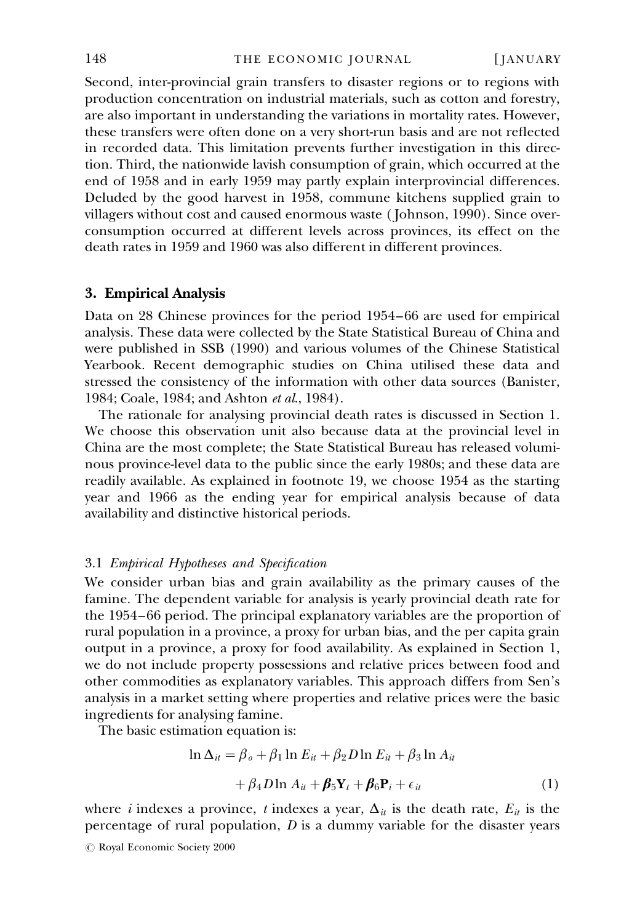Second, inter-provincial grain transfers to disaster regions or to regions with production concentration on industrial materials, such as cotton and forestry, are also important in understanding the variations in mortality rates. However, these transfers were often done on a very short-run basis and are not reflected in recorded data. This limitation prevents further investigation in this direction. Third, the nationwide lavish consumption of grain, which occurred at the end of 1958 and in early 1959 may partly explain interprovincial differences. Deluded by the good harvest in 1958, commune kitchens supplied grain to villagers without cost and caused enormous waste ( Johnson, 1990). Since overconsumption occurred at different levels across provinces, its effect on the death rates in 1959 and 1960 was also different in different provinces.

## 3. Empirical Analysis

Data on 28 Chinese provinces for the period 1954–66 are used for empirical analysis. These data were collected by the State Statistical Bureau of China and were published in SSB (1990) and various volumes of the Chinese Statistical Yearbook. Recent demographic studies on China utilised these data and stressed the consistency of the information with other data sources (Banister, 1984; Coale, 1984; and Ashton *et al.*, 1984).

The rationale for analysing provincial death rates is discussed in Section 1. We choose this observation unit also because data at the provincial level in China are the most complete; the State Statistical Bureau has released voluminous province-level data to the public since the early 1980s; and these data are readily available. As explained in footnote 19, we choose 1954 as the starting year and 1966 as the ending year for empirical analysis because of data availability and distinctive historical periods.

## 3.1 Empirical Hypotheses and Specification

We consider urban bias and grain availability as the primary causes of the famine. The dependent variable for analysis is yearly provincial death rate for the 1954–66 period. The principal explanatory variables are the proportion of rural population in a province, a proxy for urban bias, and the per capita grain output in a province, a proxy for food availability. As explained in Section 1, we do not include property possessions and relative prices between food and other commodities as explanatory variables. This approach differs from Sen's analysis in a market setting where properties and relative prices were the basic ingredients for analysing famine.

The basic estimation equation is:

$$
\ln \Delta_{it} = \beta_o + \beta_1 \ln E_{it} + \beta_2 D \ln E_{it} + \beta_3 \ln A_{it}
$$
  
+  $\beta_4 D \ln A_{it} + \beta_5 \mathbf{Y}_t + \beta_6 \mathbf{P}_i + \epsilon_{it}$  (1)

where *i* indexes a province, *t* indexes a year,  $\Delta_{it}$  is the death rate,  $E_{it}$  is the percentage of rural population,  $D$  is a dummy variable for the disaster years

 $\oslash$  Royal Economic Society 2000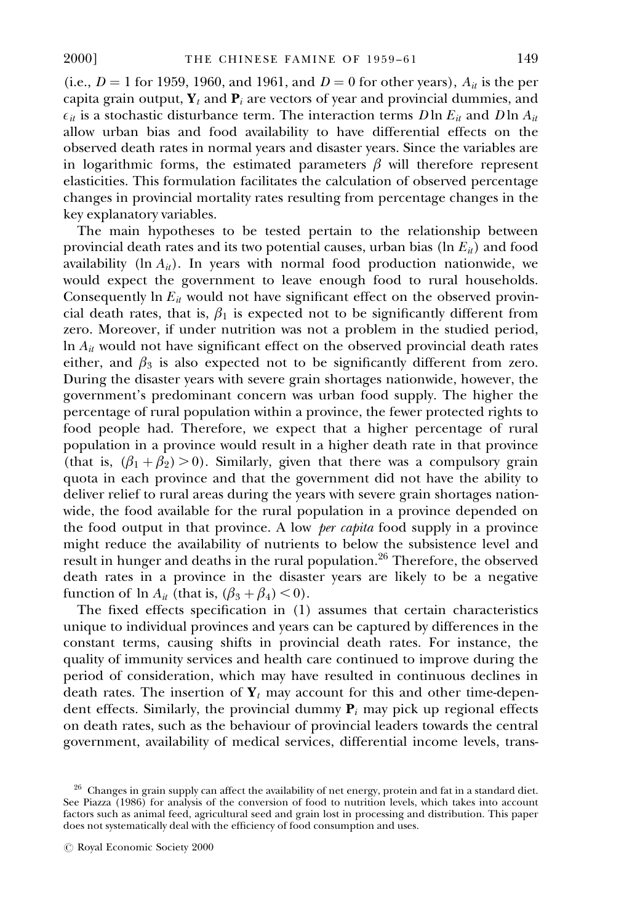(i.e.,  $D = 1$  for 1959, 1960, and 1961, and  $D = 0$  for other years),  $A_{it}$  is the per capita grain output,  $Y_t$  and  $P_i$  are vectors of year and provincial dummies, and  $\epsilon_{it}$  is a stochastic disturbance term. The interaction terms D ln E<sub>it</sub> and D ln A<sub>it</sub> allow urban bias and food availability to have differential effects on the observed death rates in normal years and disaster years. Since the variables are in logarithmic forms, the estimated parameters  $\beta$  will therefore represent elasticities. This formulation facilitates the calculation of observed percentage changes in provincial mortality rates resulting from percentage changes in the key explanatory variables.

The main hypotheses to be tested pertain to the relationship between provincial death rates and its two potential causes, urban bias (ln  $\vec{E}_{ii}$ ) and food availability (ln  $A_{it}$ ). In years with normal food production nationwide, we would expect the government to leave enough food to rural households. Consequently ln  $E_{it}$  would not have significant effect on the observed provincial death rates, that is,  $\beta_1$  is expected not to be significantly different from zero. Moreover, if under nutrition was not a problem in the studied period,  $\ln A_{it}$  would not have significant effect on the observed provincial death rates either, and  $\beta_3$  is also expected not to be significantly different from zero. During the disaster years with severe grain shortages nationwide, however, the government's predominant concern was urban food supply. The higher the percentage of rural population within a province, the fewer protected rights to food people had. Therefore, we expect that a higher percentage of rural population in a province would result in a higher death rate in that province (that is,  $(\beta_1 + \beta_2) > 0$ ). Similarly, given that there was a compulsory grain quota in each province and that the government did not have the ability to deliver relief to rural areas during the years with severe grain shortages nationwide, the food available for the rural population in a province depended on the food output in that province. A low per capita food supply in a province might reduce the availability of nutrients to below the subsistence level and result in hunger and deaths in the rural population.<sup>26</sup> Therefore, the observed death rates in a province in the disaster years are likely to be a negative function of  $\ln A_{it}$  (that is,  $(\beta_3 + \beta_4) < 0$ ).

The fixed effects specification in  $(1)$  assumes that certain characteristics unique to individual provinces and years can be captured by differences in the constant terms, causing shifts in provincial death rates. For instance, the quality of immunity services and health care continued to improve during the period of consideration, which may have resulted in continuous declines in death rates. The insertion of  $Y_t$  may account for this and other time-dependent effects. Similarly, the provincial dummy  $P_i$  may pick up regional effects on death rates, such as the behaviour of provincial leaders towards the central government, availability of medical services, differential income levels, trans-

<sup>&</sup>lt;sup>26</sup> Changes in grain supply can affect the availability of net energy, protein and fat in a standard diet. See Piazza (1986) for analysis of the conversion of food to nutrition levels, which takes into account factors such as animal feed, agricultural seed and grain lost in processing and distribution. This paper does not systematically deal with the efficiency of food consumption and uses.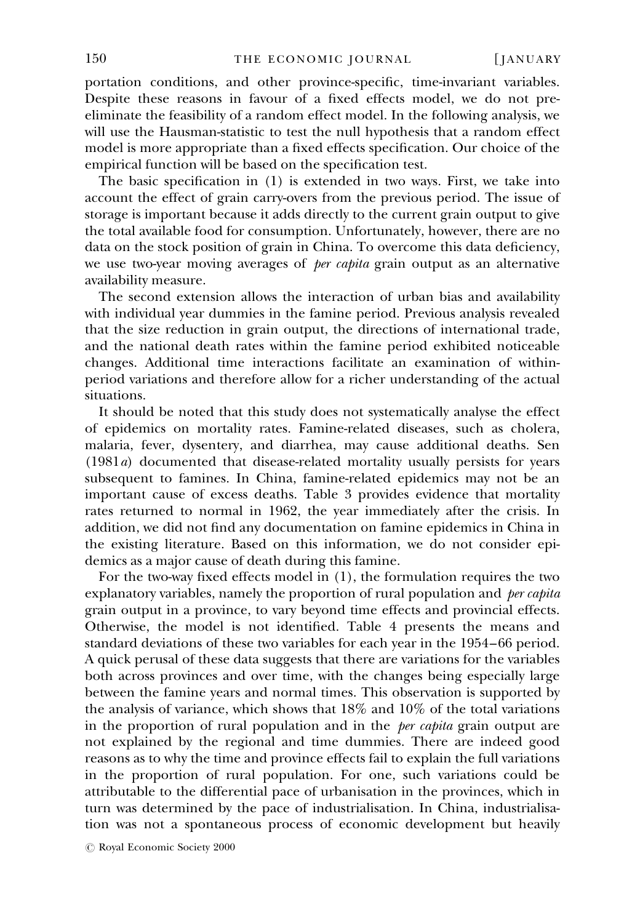portation conditions, and other province-specific, time-invariant variables. Despite these reasons in favour of a fixed effects model, we do not preeliminate the feasibility of a random effect model. In the following analysis, we will use the Hausman-statistic to test the null hypothesis that a random effect model is more appropriate than a fixed effects specification. Our choice of the empirical function will be based on the specification test.

The basic specification in  $(1)$  is extended in two ways. First, we take into account the effect of grain carry-overs from the previous period. The issue of storage is important because it adds directly to the current grain output to give the total available food for consumption. Unfortunately, however, there are no data on the stock position of grain in China. To overcome this data deficiency, we use two-year moving averages of *per capita* grain output as an alternative availability measure.

The second extension allows the interaction of urban bias and availability with individual year dummies in the famine period. Previous analysis revealed that the size reduction in grain output, the directions of international trade, and the national death rates within the famine period exhibited noticeable changes. Additional time interactions facilitate an examination of withinperiod variations and therefore allow for a richer understanding of the actual situations.

It should be noted that this study does not systematically analyse the effect of epidemics on mortality rates. Famine-related diseases, such as cholera, malaria, fever, dysentery, and diarrhea, may cause additional deaths. Sen (1981a) documented that disease-related mortality usually persists for years subsequent to famines. In China, famine-related epidemics may not be an important cause of excess deaths. Table 3 provides evidence that mortality rates returned to normal in 1962, the year immediately after the crisis. In addition, we did not find any documentation on famine epidemics in China in the existing literature. Based on this information, we do not consider epidemics as a major cause of death during this famine.

For the two-way fixed effects model in  $(1)$ , the formulation requires the two explanatory variables, namely the proportion of rural population and *per capita* grain output in a province, to vary beyond time effects and provincial effects. Otherwise, the model is not identified. Table 4 presents the means and standard deviations of these two variables for each year in the 1954–66 period. A quick perusal of these data suggests that there are variations for the variables both across provinces and over time, with the changes being especially large between the famine years and normal times. This observation is supported by the analysis of variance, which shows that 18% and 10% of the total variations in the proportion of rural population and in the *per capita* grain output are not explained by the regional and time dummies. There are indeed good reasons as to why the time and province effects fail to explain the full variations in the proportion of rural population. For one, such variations could be attributable to the differential pace of urbanisation in the provinces, which in turn was determined by the pace of industrialisation. In China, industrialisation was not a spontaneous process of economic development but heavily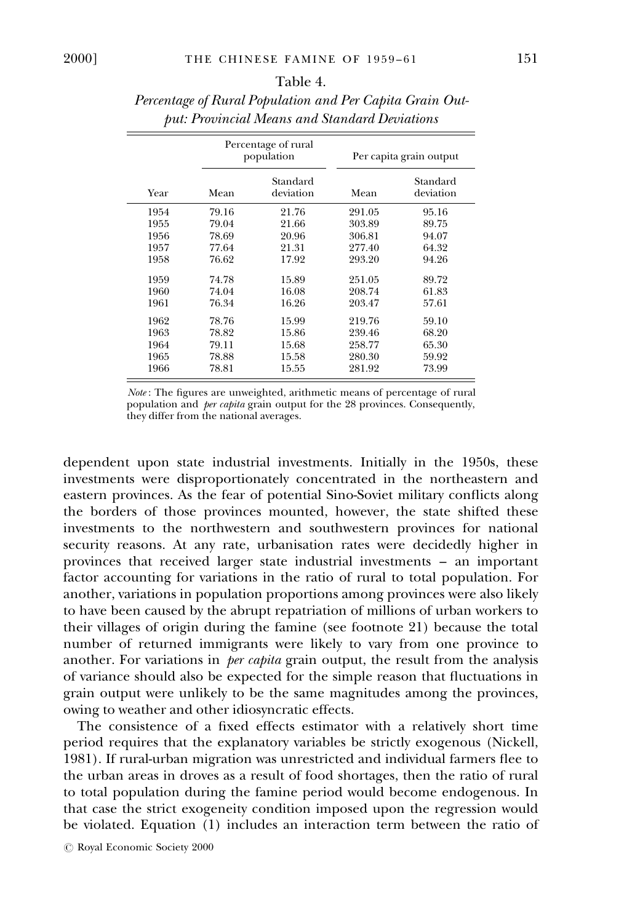### Table 4.

|      |       | Percentage of rural<br>population | Per capita grain output |                       |  |  |
|------|-------|-----------------------------------|-------------------------|-----------------------|--|--|
| Year | Mean  | Standard<br>deviation             | Mean                    | Standard<br>deviation |  |  |
| 1954 | 79.16 | 21.76                             | 291.05                  | 95.16                 |  |  |
| 1955 | 79.04 | 21.66                             | 303.89                  | 89.75                 |  |  |
| 1956 | 78.69 | 20.96                             | 306.81                  | 94.07                 |  |  |
| 1957 | 77.64 | 21.31                             | 277.40                  | 64.32                 |  |  |
| 1958 | 76.62 | 17.92                             | 293.20                  | 94.26                 |  |  |
| 1959 | 74.78 | 15.89                             | 251.05                  | 89.72                 |  |  |
| 1960 | 74.04 | 16.08                             | 208.74                  | 61.83                 |  |  |
| 1961 | 76.34 | 16.26                             | 203.47                  | 57.61                 |  |  |
| 1962 | 78.76 | 15.99                             | 219.76                  | 59.10                 |  |  |
| 1963 | 78.82 | 15.86                             | 239.46                  | 68.20                 |  |  |
| 1964 | 79.11 | 15.68                             | 258.77                  | 65.30                 |  |  |
| 1965 | 78.88 | 15.58                             | 280.30                  | 59.92                 |  |  |
| 1966 | 78.81 | 15.55                             | 281.92                  | 73.99                 |  |  |

Percentage of Rural Population and Per Capita Grain Output: Provincial Means and Standard Deviations

Note: The figures are unweighted, arithmetic means of percentage of rural population and *per capita* grain output for the 28 provinces. Consequently, they differ from the national averages.

dependent upon state industrial investments. Initially in the 1950s, these investments were disproportionately concentrated in the northeastern and eastern provinces. As the fear of potential Sino-Soviet military conflicts along the borders of those provinces mounted, however, the state shifted these investments to the northwestern and southwestern provinces for national security reasons. At any rate, urbanisation rates were decidedly higher in provinces that received larger state industrial investments  $-$  an important factor accounting for variations in the ratio of rural to total population. For another, variations in population proportions among provinces were also likely to have been caused by the abrupt repatriation of millions of urban workers to their villages of origin during the famine (see footnote 21) because the total number of returned immigrants were likely to vary from one province to another. For variations in *per capita* grain output, the result from the analysis of variance should also be expected for the simple reason that fluctuations in grain output were unlikely to be the same magnitudes among the provinces, owing to weather and other idiosyncratic effects.

The consistence of a fixed effects estimator with a relatively short time period requires that the explanatory variables be strictly exogenous (Nickell, 1981). If rural-urban migration was unrestricted and individual farmers flee to the urban areas in droves as a result of food shortages, then the ratio of rural to total population during the famine period would become endogenous. In that case the strict exogeneity condition imposed upon the regression would be violated. Equation (1) includes an interaction term between the ratio of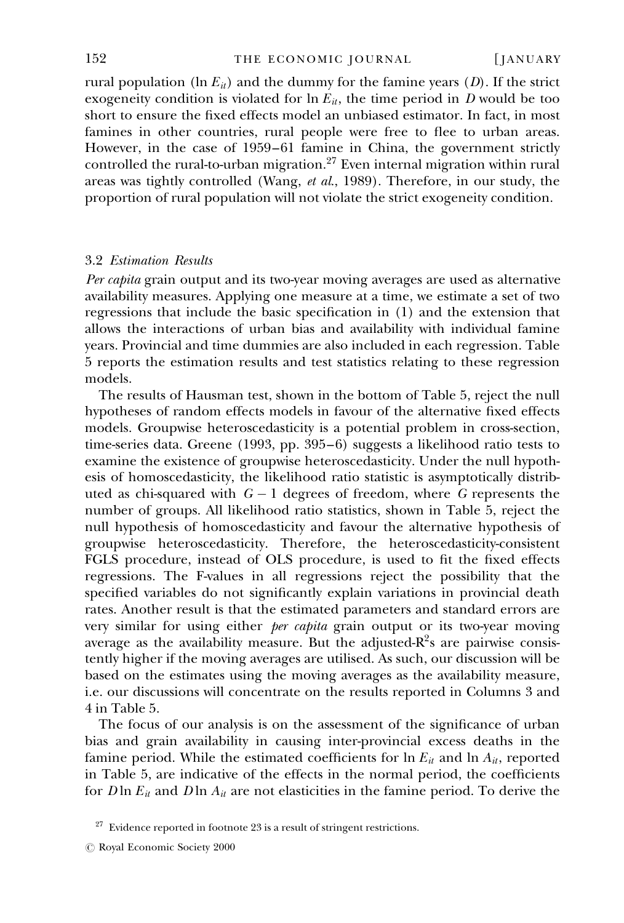rural population (ln  $E_{it}$ ) and the dummy for the famine years (D). If the strict exogeneity condition is violated for  $\ln E_{it}$ , the time period in D would be too short to ensure the fixed effects model an unbiased estimator. In fact, in most famines in other countries, rural people were free to flee to urban areas. However, in the case of 1959-61 famine in China, the government strictly controlled the rural-to-urban migration.<sup>27</sup> Even internal migration within rural areas was tightly controlled (Wang, et al., 1989). Therefore, in our study, the proportion of rural population will not violate the strict exogeneity condition.

#### 3.2 Estimation Results

Per capita grain output and its two-year moving averages are used as alternative availability measures. Applying one measure at a time, we estimate a set of two regressions that include the basic specification in  $(1)$  and the extension that allows the interactions of urban bias and availability with individual famine years. Provincial and time dummies are also included in each regression. Table 5 reports the estimation results and test statistics relating to these regression models.

The results of Hausman test, shown in the bottom of Table 5, reject the null hypotheses of random effects models in favour of the alternative fixed effects models. Groupwise heteroscedasticity is a potential problem in cross-section, time-series data. Greene (1993, pp. 395–6) suggests a likelihood ratio tests to examine the existence of groupwise heteroscedasticity. Under the null hypothesis of homoscedasticity, the likelihood ratio statistic is asymptotically distributed as chi-squared with  $G - 1$  degrees of freedom, where G represents the number of groups. All likelihood ratio statistics, shown in Table 5, reject the null hypothesis of homoscedasticity and favour the alternative hypothesis of groupwise heteroscedasticity. Therefore, the heteroscedasticity-consistent FGLS procedure, instead of OLS procedure, is used to fit the fixed effects regressions. The F-values in all regressions reject the possibility that the specified variables do not significantly explain variations in provincial death rates. Another result is that the estimated parameters and standard errors are very similar for using either *per capita* grain output or its two-year moving average as the availability measure. But the adjusted- $R^2$ s are pairwise consistently higher if the moving averages are utilised. As such, our discussion will be based on the estimates using the moving averages as the availability measure, i.e. our discussions will concentrate on the results reported in Columns 3 and 4 in Table 5.

The focus of our analysis is on the assessment of the significance of urban bias and grain availability in causing inter-provincial excess deaths in the famine period. While the estimated coefficients for  $\ln E_{it}$  and  $\ln A_{it}$ , reported in Table 5, are indicative of the effects in the normal period, the coefficients for D ln  $E_{it}$  and D ln  $A_{it}$  are not elasticities in the famine period. To derive the

 $27$  Evidence reported in footnote 23 is a result of stringent restrictions.

 $\oslash$  Royal Economic Society 2000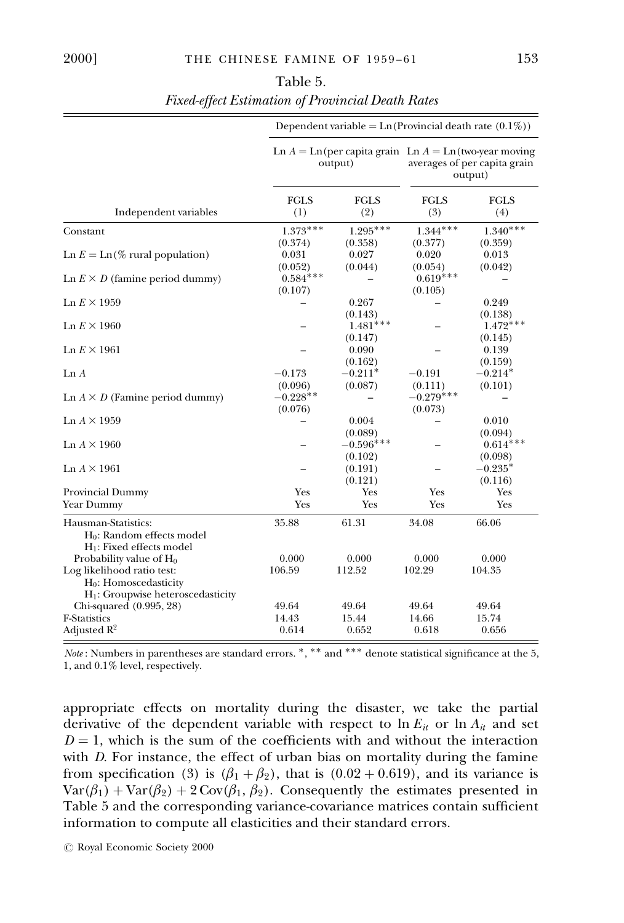|                                         | Dependent variable = $\text{Ln}(\text{Provincia death rate } (0.1\%))$ |                    |                                                                                                                     |                    |  |  |  |  |
|-----------------------------------------|------------------------------------------------------------------------|--------------------|---------------------------------------------------------------------------------------------------------------------|--------------------|--|--|--|--|
|                                         |                                                                        | output)            | Ln $A = \text{Ln}$ (per capita grain Ln $A = \text{Ln}$ (two-year moving<br>averages of per capita grain<br>output) |                    |  |  |  |  |
| Independent variables                   | <b>FGLS</b><br>(1)                                                     | <b>FGLS</b><br>(2) | <b>FGLS</b><br>(3)                                                                                                  | <b>FGLS</b><br>(4) |  |  |  |  |
| Constant                                | $1.373***$                                                             | $1.295***$         | $1.344***$                                                                                                          | $1.340***$         |  |  |  |  |
|                                         | (0.374)                                                                | (0.358)            | (0.377)                                                                                                             | (0.359)            |  |  |  |  |
| Ln $E = \text{Ln}(\%$ rural population) | 0.031                                                                  | 0.027              | 0.020                                                                                                               | 0.013              |  |  |  |  |
|                                         | (0.052)                                                                | (0.044)            | (0.054)                                                                                                             | (0.042)            |  |  |  |  |
| Ln $E \times D$ (famine period dummy)   | $0.584***$                                                             |                    | $0.619***$                                                                                                          |                    |  |  |  |  |
|                                         | (0.107)                                                                |                    | (0.105)                                                                                                             |                    |  |  |  |  |
| $\text{Ln } E \times 1959$              |                                                                        | 0.267              |                                                                                                                     | 0.249              |  |  |  |  |
|                                         |                                                                        | (0.143)            |                                                                                                                     | (0.138)            |  |  |  |  |
| $\text{Ln } E \times 1960$              |                                                                        | $1.481***$         |                                                                                                                     | $1.472***$         |  |  |  |  |
|                                         |                                                                        | (0.147)            |                                                                                                                     | (0.145)            |  |  |  |  |
| $Ln E \times 1961$                      |                                                                        | 0.090              |                                                                                                                     | 0.139              |  |  |  |  |
|                                         |                                                                        | (0.162)            |                                                                                                                     | (0.159)            |  |  |  |  |
| Ln A                                    | $-0.173$                                                               | $-0.211*$          | $-0.191$                                                                                                            | $-0.214*$          |  |  |  |  |
|                                         | (0.096)                                                                | (0.087)            | (0.111)                                                                                                             | (0.101)            |  |  |  |  |
| Ln $A \times D$ (Famine period dummy)   | $-0.228**$                                                             |                    | $-0.279***$                                                                                                         |                    |  |  |  |  |
|                                         | (0.076)                                                                |                    | (0.073)                                                                                                             |                    |  |  |  |  |
| $Ln A \times 1959$                      |                                                                        | 0.004              |                                                                                                                     | 0.010              |  |  |  |  |
|                                         |                                                                        | (0.089)            |                                                                                                                     | (0.094)            |  |  |  |  |
| $\text{Ln} A \times 1960$               |                                                                        | $-0.596***$        |                                                                                                                     | $0.614***$         |  |  |  |  |
|                                         |                                                                        | (0.102)            |                                                                                                                     | (0.098)            |  |  |  |  |
| $Ln A \times 1961$                      |                                                                        | (0.191)            |                                                                                                                     | $-0.235*$          |  |  |  |  |
|                                         |                                                                        | (0.121)            |                                                                                                                     | (0.116)            |  |  |  |  |
| Provincial Dummy                        | Yes                                                                    | Yes                | Yes                                                                                                                 | Yes                |  |  |  |  |
| Year Dummy                              | Yes                                                                    | Yes                | Yes                                                                                                                 | Yes                |  |  |  |  |
| Hausman-Statistics:                     | 35.88                                                                  | 61.31              | 34.08                                                                                                               | 66.06              |  |  |  |  |
| $H_0$ : Random effects model            |                                                                        |                    |                                                                                                                     |                    |  |  |  |  |
| $H_1$ : Fixed effects model             |                                                                        |                    |                                                                                                                     |                    |  |  |  |  |
| Probability value of $H_0$              | 0.000                                                                  | 0.000              | 0.000                                                                                                               | 0.000              |  |  |  |  |
| Log likelihood ratio test:              | 106.59                                                                 | 112.52             | 102.29                                                                                                              | 104.35             |  |  |  |  |
| $H_0$ : Homoscedasticity                |                                                                        |                    |                                                                                                                     |                    |  |  |  |  |
| $H_1$ : Groupwise heteroscedasticity    |                                                                        |                    |                                                                                                                     |                    |  |  |  |  |
| Chi-squared $(0.995, 28)$               | 49.64                                                                  | 49.64              | 49.64                                                                                                               | 49.64              |  |  |  |  |
| <b>F-Statistics</b>                     | 14.43                                                                  | 15.44              | 14.66                                                                                                               | 15.74              |  |  |  |  |
| Adjusted $R^2$                          | 0.614                                                                  | 0.652              | 0.618                                                                                                               | 0.656              |  |  |  |  |

# Table 5. Fixed-effect Estimation of Provincial Death Rates

Note: Numbers in parentheses are standard errors.  $\ast$ ,  $\ast\ast$  and  $\ast\ast\ast$  denote statistical significance at the 5, 1, and 0.1% level, respectively.

appropriate effects on mortality during the disaster, we take the partial derivative of the dependent variable with respect to  $\ln E_{it}$  or  $\ln A_{it}$  and set  $D = 1$ , which is the sum of the coefficients with and without the interaction with *D*. For instance, the effect of urban bias on mortality during the famine from specification (3) is  $(\beta_1 + \beta_2)$ , that is (0.02 + 0.619), and its variance is  $Var(\beta_1) + Var(\beta_2) + 2Cov(\beta_1, \beta_2)$ . Consequently the estimates presented in Table 5 and the corresponding variance-covariance matrices contain sufficient information to compute all elasticities and their standard errors.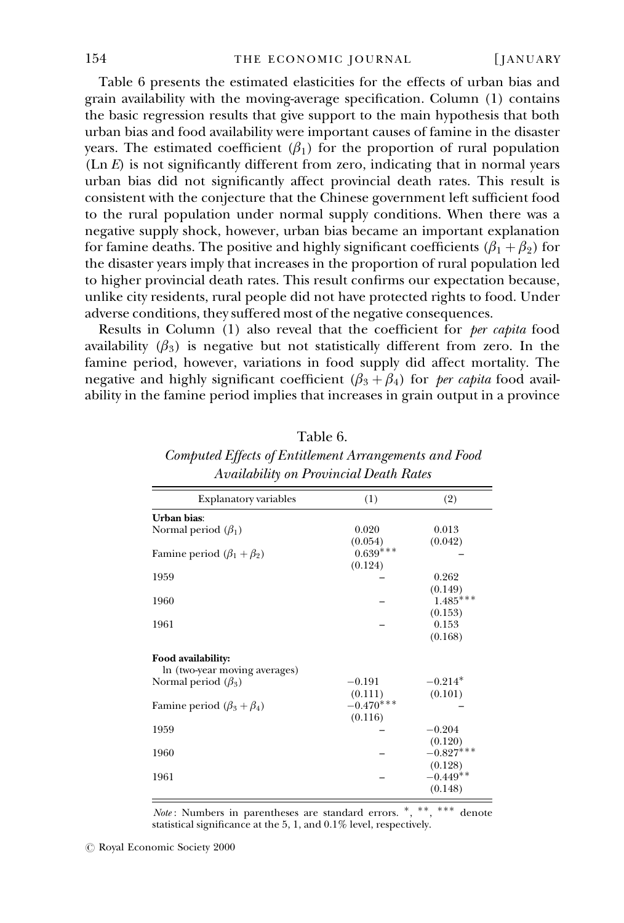Table 6 presents the estimated elasticities for the effects of urban bias and grain availability with the moving-average specification. Column (1) contains the basic regression results that give support to the main hypothesis that both urban bias and food availability were important causes of famine in the disaster years. The estimated coefficient  $(\beta_1)$  for the proportion of rural population  $(Ln E)$  is not significantly different from zero, indicating that in normal years urban bias did not significantly affect provincial death rates. This result is consistent with the conjecture that the Chinese government left sufficient food to the rural population under normal supply conditions. When there was a negative supply shock, however, urban bias became an important explanation for famine deaths. The positive and highly significant coefficients ( $\beta_1 + \beta_2$ ) for the disaster years imply that increases in the proportion of rural population led to higher provincial death rates. This result confirms our expectation because, unlike city residents, rural people did not have protected rights to food. Under adverse conditions, they suffered most of the negative consequences.

Results in Column  $(1)$  also reveal that the coefficient for *per capita* food availability  $(\beta_3)$  is negative but not statistically different from zero. In the famine period, however, variations in food supply did affect mortality. The negative and highly significant coefficient ( $\beta_3 + \beta_4$ ) for *per capita* food availability in the famine period implies that increases in grain output in a province

| Explanatory variables               | (1)         | (2)         |
|-------------------------------------|-------------|-------------|
| Urban bias:                         |             |             |
| Normal period $(\beta_1)$           | 0.020       | 0.013       |
|                                     | (0.054)     | (0.042)     |
| Famine period $(\beta_1 + \beta_2)$ | $0.639***$  |             |
|                                     | (0.124)     |             |
| 1959                                |             | 0.262       |
|                                     |             | (0.149)     |
| 1960                                |             | $1.485***$  |
|                                     |             | (0.153)     |
| 1961                                |             | 0.153       |
|                                     |             | (0.168)     |
| Food availability:                  |             |             |
| In (two-year moving averages)       |             |             |
| Normal period $(\beta_3)$           | $-0.191$    | $-0.214*$   |
|                                     | (0.111)     | (0.101)     |
| Famine period $(\beta_3 + \beta_4)$ | $-0.470***$ |             |
|                                     | (0.116)     |             |
| 1959                                |             | $-0.204$    |
|                                     |             | (0.120)     |
| 1960                                |             | $-0.827***$ |
|                                     |             | (0.128)     |
| 1961                                |             | $-0.449**$  |
|                                     |             | (0.148)     |

| Table 6.                                              |
|-------------------------------------------------------|
| Computed Effects of Entitlement Arrangements and Food |
| Availability on Provincial Death Rates                |

*Note*: Numbers in parentheses are standard errors. \*, \*\*, \*\*\* denote statistical significance at the 5, 1, and  $0.1\%$  level, respectively.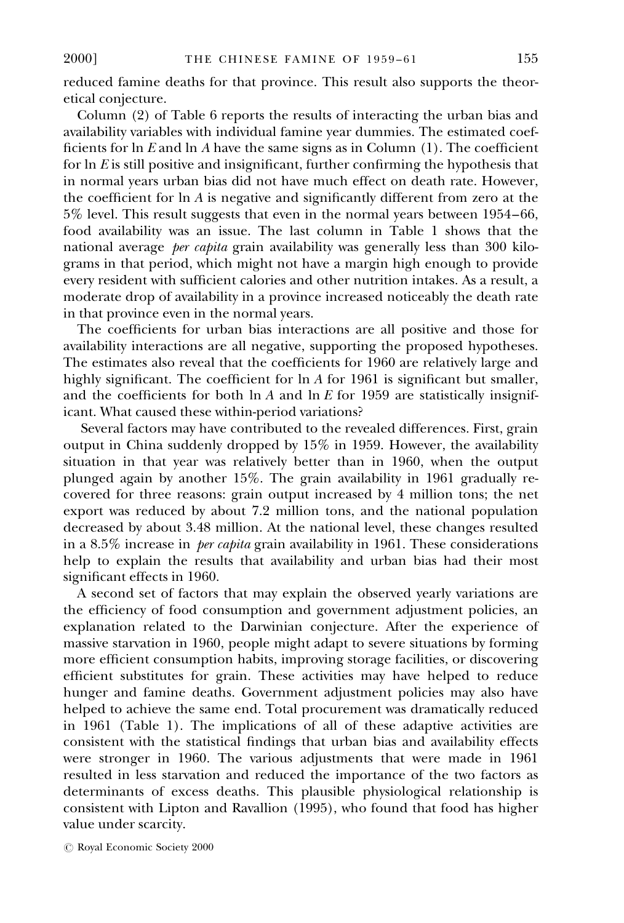reduced famine deaths for that province. This result also supports the theoretical conjecture.

Column (2) of Table 6 reports the results of interacting the urban bias and availability variables with individual famine year dummies. The estimated coef ficients for ln E and ln A have the same signs as in Column (1). The coefficient for  $\ln E$  is still positive and insignificant, further confirming the hypothesis that in normal years urban bias did not have much effect on death rate. However, the coefficient for  $\ln A$  is negative and significantly different from zero at the  $5\%$  level. This result suggests that even in the normal years between  $1954-66$ , food availability was an issue. The last column in Table 1 shows that the national average per capita grain availability was generally less than 300 kilograms in that period, which might not have a margin high enough to provide every resident with sufficient calories and other nutrition intakes. As a result, a moderate drop of availability in a province increased noticeably the death rate in that province even in the normal years.

The coefficients for urban bias interactions are all positive and those for availability interactions are all negative, supporting the proposed hypotheses. The estimates also reveal that the coefficients for 1960 are relatively large and highly significant. The coefficient for  $\ln A$  for 1961 is significant but smaller, and the coefficients for both  $\ln A$  and  $\ln E$  for 1959 are statistically insignificant. What caused these within-period variations?

Several factors may have contributed to the revealed differences. First, grain output in China suddenly dropped by 15% in 1959. However, the availability situation in that year was relatively better than in 1960, when the output plunged again by another 15%. The grain availability in 1961 gradually recovered for three reasons: grain output increased by 4 million tons; the net export was reduced by about 7.2 million tons, and the national population decreased by about 3.48 million. At the national level, these changes resulted in a 8.5% increase in per capita grain availability in 1961. These considerations help to explain the results that availability and urban bias had their most significant effects in 1960.

A second set of factors that may explain the observed yearly variations are the efficiency of food consumption and government adjustment policies, an explanation related to the Darwinian conjecture. After the experience of massive starvation in 1960, people might adapt to severe situations by forming more efficient consumption habits, improving storage facilities, or discovering efficient substitutes for grain. These activities may have helped to reduce hunger and famine deaths. Government adjustment policies may also have helped to achieve the same end. Total procurement was dramatically reduced in 1961 (Table 1). The implications of all of these adaptive activities are consistent with the statistical findings that urban bias and availability effects were stronger in 1960. The various adjustments that were made in 1961 resulted in less starvation and reduced the importance of the two factors as determinants of excess deaths. This plausible physiological relationship is consistent with Lipton and Ravallion (1995), who found that food has higher value under scarcity.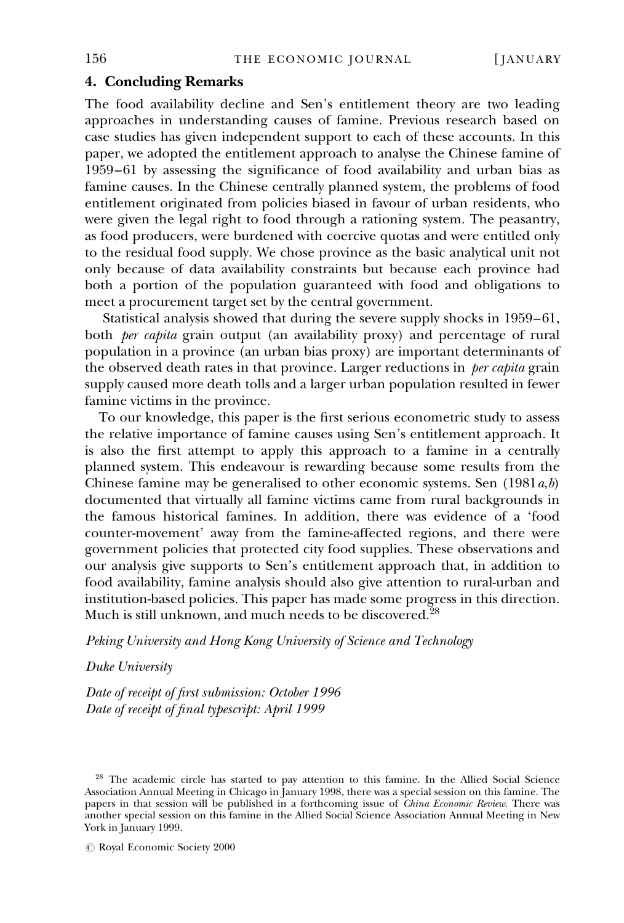# 4. Concluding Remarks

The food availability decline and Sen's entitlement theory are two leading approaches in understanding causes of famine. Previous research based on case studies has given independent support to each of these accounts. In this paper, we adopted the entitlement approach to analyse the Chinese famine of 1959-61 by assessing the significance of food availability and urban bias as famine causes. In the Chinese centrally planned system, the problems of food entitlement originated from policies biased in favour of urban residents, who were given the legal right to food through a rationing system. The peasantry, as food producers, were burdened with coercive quotas and were entitled only to the residual food supply. We chose province as the basic analytical unit not only because of data availability constraints but because each province had both a portion of the population guaranteed with food and obligations to meet a procurement target set by the central government.

Statistical analysis showed that during the severe supply shocks in 1959–61, both per capita grain output (an availability proxy) and percentage of rural population in a province (an urban bias proxy) are important determinants of the observed death rates in that province. Larger reductions in *per capita* grain supply caused more death tolls and a larger urban population resulted in fewer famine victims in the province.

To our knowledge, this paper is the first serious econometric study to assess the relative importance of famine causes using Sen's entitlement approach. It is also the first attempt to apply this approach to a famine in a centrally planned system. This endeavour is rewarding because some results from the Chinese famine may be generalised to other economic systems. Sen  $(1981a,b)$ documented that virtually all famine victims came from rural backgrounds in the famous historical famines. In addition, there was evidence of a `food counter-movement' away from the famine-affected regions, and there were government policies that protected city food supplies. These observations and our analysis give supports to Sen's entitlement approach that, in addition to food availability, famine analysis should also give attention to rural-urban and institution-based policies. This paper has made some progress in this direction. Much is still unknown, and much needs to be discovered. $^{28}$ 

## Peking University and Hong Kong University of Science and Technology

### Duke University

Date of receipt of first submission: October 1996 Date of receipt of final typescript: April 1999

<sup>&</sup>lt;sup>28</sup> The academic circle has started to pay attention to this famine. In the Allied Social Science Association Annual Meeting in Chicago in January 1998, there was a special session on this famine. The papers in that session will be published in a forthcoming issue of China Economic Review. There was another special session on this famine in the Allied Social Science Association Annual Meeting in New York in January 1999.

 $\oslash$  Royal Economic Society 2000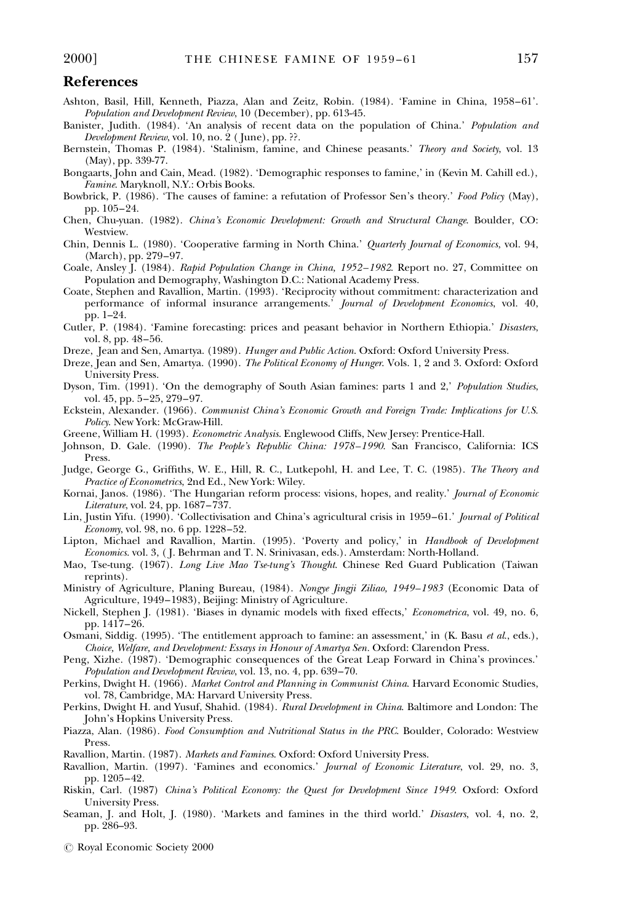## 2000] THE CHINESE FAMINE OF 1959-61 157

## References

- Ashton, Basil, Hill, Kenneth, Piazza, Alan and Zeitz, Robin. (1984). 'Famine in China, 1958-61'. Population and Development Review, 10 (December), pp. 613-45.
- Banister, Judith. (1984). 'An analysis of recent data on the population of China.' Population and Development Review, vol. 10, no. 2 ( June), pp. ??.
- Bernstein, Thomas P. (1984). 'Stalinism, famine, and Chinese peasants.' Theory and Society, vol. 13 (May), pp. 339-77.
- Bongaarts, John and Cain, Mead. (1982). `Demographic responses to famine,' in (Kevin M. Cahill ed.), Famine. Maryknoll, N.Y.: Orbis Books.
- Bowbrick, P. (1986). 'The causes of famine: a refutation of Professor Sen's theory.' Food Policy (May), pp. 105±24.
- Chen, Chu-yuan. (1982). China's Economic Development: Growth and Structural Change. Boulder, CO: Westview.
- Chin, Dennis L. (1980). `Cooperative farming in North China.' Quarterly Journal of Economics, vol. 94, (March), pp. 279-97.
- Coale, Ansley J. (1984). Rapid Population Change in China, 1952-1982. Report no. 27, Committee on Population and Demography, Washington D.C.: National Academy Press.
- Coate, Stephen and Ravallion, Martin. (1993). `Reciprocity without commitment: characterization and performance of informal insurance arrangements.' Journal of Development Economics, vol. 40, pp. 1-24.
- Cutler, P. (1984). 'Famine forecasting: prices and peasant behavior in Northern Ethiopia.' Disasters, vol. 8, pp. 48-56.
- Dreze, Jean and Sen, Amartya. (1989). Hunger and Public Action. Oxford: Oxford University Press.
- Dreze, Jean and Sen, Amartya. (1990). The Political Economy of Hunger. Vols. 1, 2 and 3. Oxford: Oxford University Press.
- Dyson, Tim. (1991). 'On the demography of South Asian famines: parts 1 and 2,' Population Studies, vol. 45, pp. 5-25, 279-97.
- Eckstein, Alexander. (1966). Communist China's Economic Growth and Foreign Trade: Implications for U.S. Policy. New York: McGraw-Hill.
- Greene, William H. (1993). Econometric Analysis. Englewood Cliffs, New Jersey: Prentice-Hall.
- Johnson, D. Gale. (1990). The People's Republic China: 1978-1990. San Francisco, California: ICS Press.
- Judge, George G., Griffiths, W. E., Hill, R. C., Lutkepohl, H. and Lee, T. C. (1985). The Theory and Practice of Econometrics, 2nd Ed., New York: Wiley.
- Kornai, Janos. (1986). 'The Hungarian reform process: visions, hopes, and reality.' Journal of Economic Literature, vol. 24, pp. 1687-737.
- Lin, Justin Yifu. (1990). 'Collectivisation and China's agricultural crisis in 1959-61.' Journal of Political Economy, vol. 98, no. 6 pp. 1228-52.
- Lipton, Michael and Ravallion, Martin. (1995). 'Poverty and policy,' in Handbook of Development Economics. vol. 3, ( J. Behrman and T. N. Srinivasan, eds.). Amsterdam: North-Holland.
- Mao, Tse-tung. (1967). Long Live Mao Tse-tung's Thought. Chinese Red Guard Publication (Taiwan reprints).
- Ministry of Agriculture, Planing Bureau, (1984). Nongye *Jingji Ziliao*, 1949-1983 (Economic Data of Agriculture, 1949–1983), Beijing: Ministry of Agriculture.
- Nickell, Stephen J. (1981). 'Biases in dynamic models with fixed effects,' Econometrica, vol. 49, no. 6, pp. 1417±26.
- Osmani, Siddig. (1995). 'The entitlement approach to famine: an assessment,' in (K. Basu et al., eds.), Choice, Welfare, and Development: Essays in Honour of Amartya Sen. Oxford: Clarendon Press.
- Peng, Xizhe. (1987). `Demographic consequences of the Great Leap Forward in China's provinces.' Population and Development Review, vol. 13, no. 4, pp. 639-70.
- Perkins, Dwight H. (1966). Market Control and Planning in Communist China. Harvard Economic Studies, vol. 78, Cambridge, MA: Harvard University Press.
- Perkins, Dwight H. and Yusuf, Shahid. (1984). Rural Development in China. Baltimore and London: The John's Hopkins University Press.
- Piazza, Alan. (1986). Food Consumption and Nutritional Status in the PRC. Boulder, Colorado: Westview Press.
- Ravallion, Martin. (1987). Markets and Famines. Oxford: Oxford University Press.
- Ravallion, Martin. (1997). 'Famines and economics.' Journal of Economic Literature, vol. 29, no. 3, pp. 1205-42.
- Riskin, Carl. (1987) China's Political Economy: the Quest for Development Since 1949. Oxford: Oxford University Press.
- Seaman, J. and Holt, J. (1980). 'Markets and famines in the third world.' Disasters, vol. 4, no. 2, pp. 286±93.
- $\oslash$  Royal Economic Society 2000